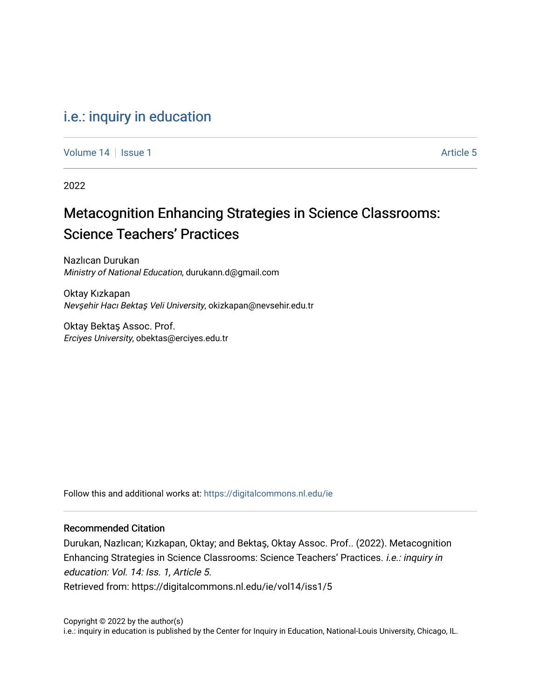### [i.e.: inquiry in education](https://digitalcommons.nl.edu/ie)

[Volume 14](https://digitalcommons.nl.edu/ie/vol14) Suitsue 1 Article 5

2022

# Metacognition Enhancing Strategies in Science Classrooms: Science Teachers' Practices

Nazlıcan Durukan Ministry of National Education, durukann.d@gmail.com

Oktay Kızkapan Nevşehir Hacı Bektaş Veli University, okizkapan@nevsehir.edu.tr

Oktay Bektaş Assoc. Prof. Erciyes University, obektas@erciyes.edu.tr

Follow this and additional works at: [https://digitalcommons.nl.edu/ie](https://digitalcommons.nl.edu/ie?utm_source=digitalcommons.nl.edu%2Fie%2Fvol14%2Fiss1%2F5&utm_medium=PDF&utm_campaign=PDFCoverPages) 

#### Recommended Citation

Durukan, Nazlıcan; Kızkapan, Oktay; and Bektaş, Oktay Assoc. Prof.. (2022). Metacognition Enhancing Strategies in Science Classrooms: Science Teachers' Practices. i.e.: inquiry in education: Vol. 14: Iss. 1, Article 5. Retrieved from: https://digitalcommons.nl.edu/ie/vol14/iss1/5

Copyright © 2022 by the author(s) i.e.: inquiry in education is published by the Center for Inquiry in Education, National-Louis University, Chicago, IL.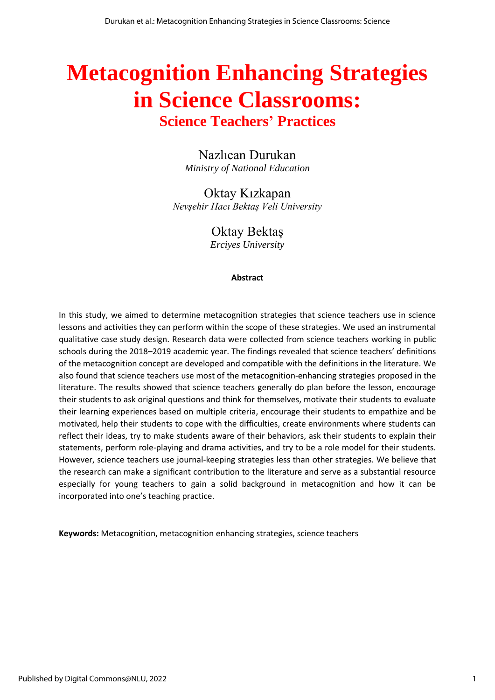# **Metacognition Enhancing Strategies in Science Classrooms:**

## **Science Teachers' Practices**

Nazlıcan Durukan *Ministry of National Education*

Oktay Kızkapan *Nevşehir Hacı Bektaş Veli University*

Oktay Bektaş

*Erciyes University*

#### **Abstract**

In this study, we aimed to determine metacognition strategies that science teachers use in science lessons and activities they can perform within the scope of these strategies. We used an instrumental qualitative case study design. Research data were collected from science teachers working in public schools during the 2018–2019 academic year. The findings revealed that science teachers' definitions of the metacognition concept are developed and compatible with the definitions in the literature. We also found that science teachers use most of the metacognition-enhancing strategies proposed in the literature. The results showed that science teachers generally do plan before the lesson, encourage their students to ask original questions and think for themselves, motivate their students to evaluate their learning experiences based on multiple criteria, encourage their students to empathize and be motivated, help their students to cope with the difficulties, create environments where students can reflect their ideas, try to make students aware of their behaviors, ask their students to explain their statements, perform role-playing and drama activities, and try to be a role model for their students. However, science teachers use journal-keeping strategies less than other strategies. We believe that the research can make a significant contribution to the literature and serve as a substantial resource especially for young teachers to gain a solid background in metacognition and how it can be incorporated into one's teaching practice.

**Keywords:** Metacognition, metacognition enhancing strategies, science teachers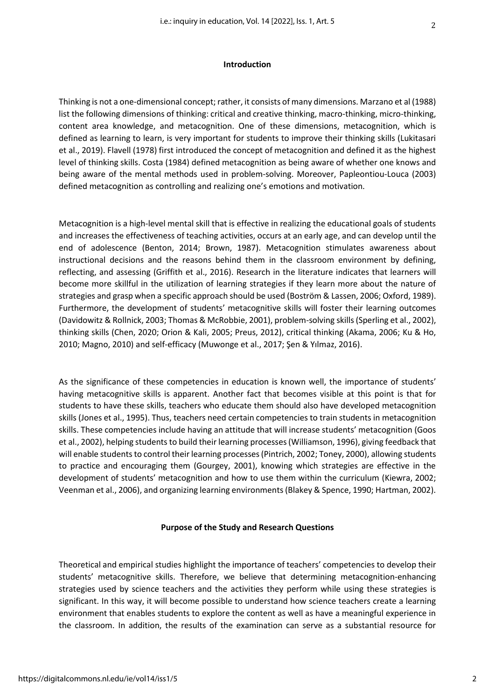#### **Introduction**

Thinking is not a one-dimensional concept; rather, it consists of many dimensions. Marzano et al (1988) list the following dimensions of thinking: critical and creative thinking, macro-thinking, micro-thinking, content area knowledge, and metacognition. One of these dimensions, metacognition, which is defined as learning to learn, is very important for students to improve their thinking skills (Lukitasari et al., 2019). Flavell (1978) first introduced the concept of metacognition and defined it as the highest level of thinking skills. Costa (1984) defined metacognition as being aware of whether one knows and being aware of the mental methods used in problem-solving. Moreover, Papleontiou-Louca (2003) defined metacognition as controlling and realizing one's emotions and motivation.

Metacognition is a high-level mental skill that is effective in realizing the educational goals of students and increases the effectiveness of teaching activities, occurs at an early age, and can develop until the end of adolescence (Benton, 2014; Brown, 1987). Metacognition stimulates awareness about instructional decisions and the reasons behind them in the classroom environment by defining, reflecting, and assessing (Griffith et al., 2016). Research in the literature indicates that learners will become more skillful in the utilization of learning strategies if they learn more about the nature of strategies and grasp when a specific approach should be used (Boström & Lassen, 2006; Oxford, 1989). Furthermore, the development of students' metacognitive skills will foster their learning outcomes (Davidowitz & Rollnick, 2003; Thomas & McRobbie, 2001), problem-solving skills (Sperling et al., 2002), thinking skills (Chen, 2020; Orion & Kali, 2005; Preus, 2012), critical thinking (Akama, 2006; Ku & Ho, 2010; Magno, 2010) and self-efficacy (Muwonge et al., 2017; Şen & Yılmaz, 2016).

As the significance of these competencies in education is known well, the importance of students' having metacognitive skills is apparent. Another fact that becomes visible at this point is that for students to have these skills, teachers who educate them should also have developed metacognition skills (Jones et al., 1995). Thus, teachers need certain competencies to train students in metacognition skills. These competencies include having an attitude that will increase students' metacognition (Goos et al., 2002), helping students to build their learning processes(Williamson, 1996), giving feedback that will enable students to control their learning processes (Pintrich, 2002; Toney, 2000), allowing students to practice and encouraging them (Gourgey, 2001), knowing which strategies are effective in the development of students' metacognition and how to use them within the curriculum (Kiewra, 2002; Veenman et al., 2006), and organizing learning environments (Blakey & Spence, 1990; Hartman, 2002).

#### **Purpose of the Study and Research Questions**

Theoretical and empirical studies highlight the importance of teachers' competencies to develop their students' metacognitive skills. Therefore, we believe that determining metacognition-enhancing strategies used by science teachers and the activities they perform while using these strategies is significant. In this way, it will become possible to understand how science teachers create a learning environment that enables students to explore the content as well as have a meaningful experience in the classroom. In addition, the results of the examination can serve as a substantial resource for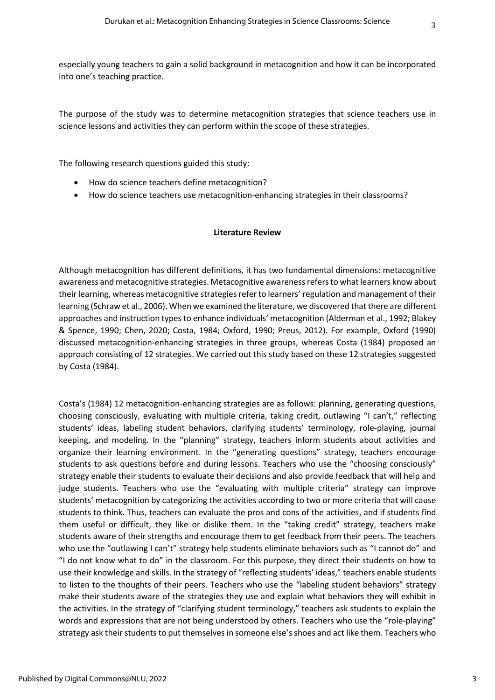especially young teachers to gain a solid background in metacognition and how it can be incorporated into one's teaching practice.

The purpose of the study was to determine metacognition strategies that science teachers use in science lessons and activities they can perform within the scope of these strategies.

The following research questions guided this study:

- How do science teachers define metacognition?
- How do science teachers use metacognition-enhancing strategies in their classrooms?

#### **Literature Review**

Although metacognition has different definitions, it has two fundamental dimensions: metacognitive awareness and metacognitive strategies. Metacognitive awareness refers to what learners know about their learning, whereas metacognitive strategies refer to learners' regulation and management of their learning (Schraw et al., 2006). When we examined the literature, we discovered that there are different approaches and instruction typesto enhance individuals' metacognition (Alderman et al., 1992; Blakey & Spence, 1990; Chen, 2020; Costa, 1984; Oxford, 1990; Preus, 2012). For example, Oxford (1990) discussed metacognition-enhancing strategies in three groups, whereas Costa (1984) proposed an approach consisting of 12 strategies. We carried out this study based on these 12 strategies suggested by Costa (1984).

Costa's (1984) 12 metacognition-enhancing strategies are as follows: planning, generating questions, choosing consciously, evaluating with multiple criteria, taking credit, outlawing "I can't," reflecting students' ideas, labeling student behaviors, clarifying students' terminology, role-playing, journal keeping, and modeling. In the "planning" strategy, teachers inform students about activities and organize their learning environment. In the "generating questions" strategy, teachers encourage students to ask questions before and during lessons. Teachers who use the "choosing consciously" strategy enable their students to evaluate their decisions and also provide feedback that will help and judge students. Teachers who use the "evaluating with multiple criteria" strategy can improve students' metacognition by categorizing the activities according to two or more criteria that will cause students to think. Thus, teachers can evaluate the pros and cons of the activities, and if students find them useful or difficult, they like or dislike them. In the "taking credit" strategy, teachers make students aware of their strengths and encourage them to get feedback from their peers. The teachers who use the "outlawing I can't" strategy help students eliminate behaviors such as "I cannot do" and "I do not know what to do" in the classroom. For this purpose, they direct their students on how to use their knowledge and skills. In the strategy of "reflecting students' ideas," teachers enable students to listen to the thoughts of their peers. Teachers who use the "labeling student behaviors" strategy make their students aware of the strategies they use and explain what behaviors they will exhibit in the activities. In the strategy of "clarifying student terminology," teachers ask students to explain the words and expressions that are not being understood by others. Teachers who use the "role-playing" strategy ask their students to put themselves in someone else's shoes and act like them. Teachers who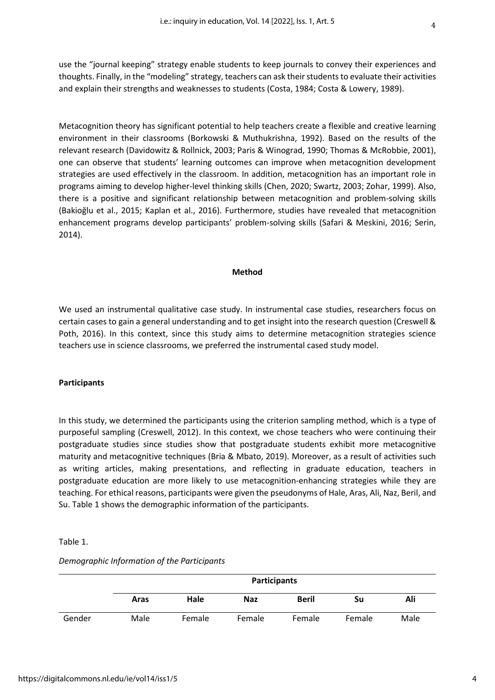use the "journal keeping" strategy enable students to keep journals to convey their experiences and thoughts. Finally, in the "modeling" strategy, teachers can ask their students to evaluate their activities and explain their strengths and weaknesses to students (Costa, 1984; Costa & Lowery, 1989).

Metacognition theory has significant potential to help teachers create a flexible and creative learning environment in their classrooms (Borkowski & Muthukrishna, 1992). Based on the results of the relevant research (Davidowitz & Rollnick, 2003; Paris & Winograd, 1990; Thomas & McRobbie, 2001), one can observe that students' learning outcomes can improve when metacognition development strategies are used effectively in the classroom. In addition, metacognition has an important role in programs aiming to develop higher-level thinking skills (Chen, 2020; Swartz, 2003; Zohar, 1999). Also, there is a positive and significant relationship between metacognition and problem-solving skills (Bakioğlu et al., 2015; Kaplan et al., 2016). Furthermore, studies have revealed that metacognition enhancement programs develop participants' problem-solving skills (Safari & Meskini, 2016; Serin, 2014).

#### **Method**

We used an instrumental qualitative case study. In instrumental case studies, researchers focus on certain cases to gain a general understanding and to get insight into the research question (Creswell & Poth, 2016). In this context, since this study aims to determine metacognition strategies science teachers use in science classrooms, we preferred the instrumental cased study model.

#### **Participants**

In this study, we determined the participants using the criterion sampling method, which is a type of purposeful sampling (Creswell, 2012). In this context, we chose teachers who were continuing their postgraduate studies since studies show that postgraduate students exhibit more metacognitive maturity and metacognitive techniques (Bria & Mbato, 2019). Moreover, as a result of activities such as writing articles, making presentations, and reflecting in graduate education, teachers in postgraduate education are more likely to use metacognition-enhancing strategies while they are teaching. For ethical reasons, participants were given the pseudonyms of Hale, Aras, Ali, Naz, Beril, and Su. Table 1 shows the demographic information of the participants.

#### Table 1.

|        |      |        | <b>Participants</b> |              |        |      |
|--------|------|--------|---------------------|--------------|--------|------|
|        | Aras | Hale   | <b>Naz</b>          | <b>Beril</b> | Su     | Ali  |
| Gender | Male | Female | Female              | Female       | Female | Male |

#### *Demographic Information of the Participants*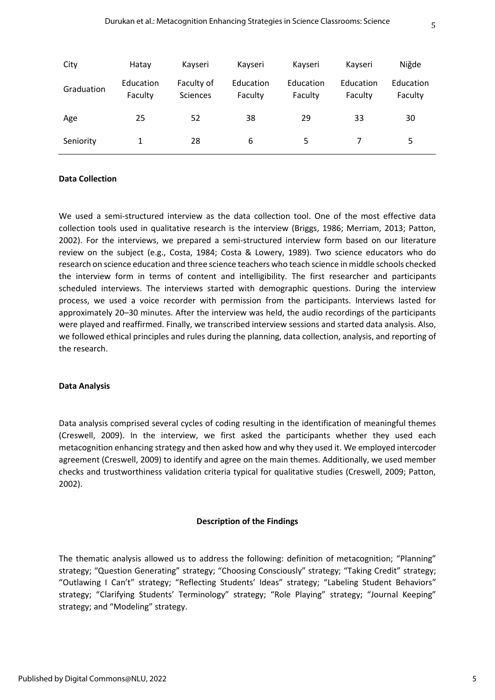| City       | Hatay                | Kayseri                | Kayseri              | Kayseri              | Kayseri              | Niğde                |
|------------|----------------------|------------------------|----------------------|----------------------|----------------------|----------------------|
| Graduation | Education<br>Faculty | Faculty of<br>Sciences | Education<br>Faculty | Education<br>Faculty | Education<br>Faculty | Education<br>Faculty |
| Age        | 25                   | 52                     | 38                   | 29                   | 33                   | 30                   |
| Seniority  |                      | 28                     | 6                    | 5                    |                      | 5                    |

#### **Data Collection**

We used a semi-structured interview as the data collection tool. One of the most effective data collection tools used in qualitative research is the interview (Briggs, 1986; Merriam, 2013; Patton, 2002). For the interviews, we prepared a semi-structured interview form based on our literature review on the subject (e.g., Costa, 1984; Costa & Lowery, 1989). Two science educators who do research on science education and three science teachers who teach science in middle schools checked the interview form in terms of content and intelligibility. The first researcher and participants scheduled interviews. The interviews started with demographic questions. During the interview process, we used a voice recorder with permission from the participants. Interviews lasted for approximately 20–30 minutes. After the interview was held, the audio recordings of the participants were played and reaffirmed. Finally, we transcribed interview sessions and started data analysis. Also, we followed ethical principles and rules during the planning, data collection, analysis, and reporting of the research.

#### **Data Analysis**

Data analysis comprised several cycles of coding resulting in the identification of meaningful themes (Creswell, 2009). In the interview, we first asked the participants whether they used each metacognition enhancing strategy and then asked how and why they used it. We employed intercoder agreement (Creswell, 2009) to identify and agree on the main themes. Additionally, we used member checks and trustworthiness validation criteria typical for qualitative studies (Creswell, 2009; Patton, 2002).

#### **Description of the Findings**

The thematic analysis allowed us to address the following: definition of metacognition; "Planning" strategy; "Question Generating" strategy; "Choosing Consciously" strategy; "Taking Credit" strategy; "Outlawing I Can't" strategy; "Reflecting Students' Ideas" strategy; "Labeling Student Behaviors" strategy; "Clarifying Students' Terminology" strategy; "Role Playing" strategy; "Journal Keeping" strategy; and "Modeling" strategy.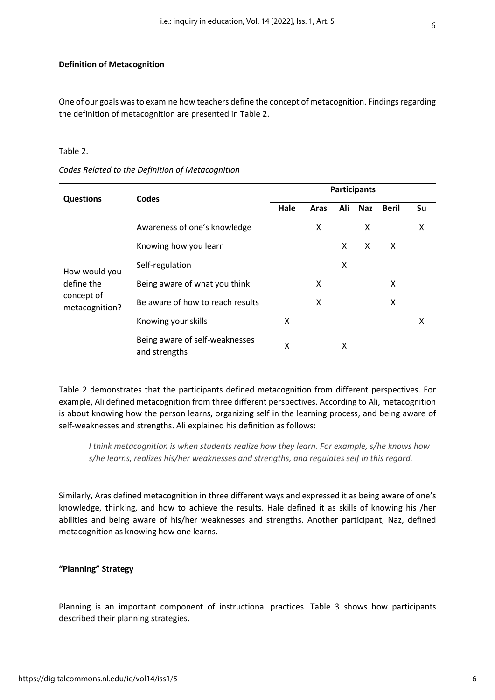#### **Definition of Metacognition**

One of our goals was to examine how teachers define the concept of metacognition. Findings regarding the definition of metacognition are presented in Table 2.

#### Table 2.

| <b>Questions</b>             | Codes                                           |      |      |     | <b>Participants</b> |              |    |
|------------------------------|-------------------------------------------------|------|------|-----|---------------------|--------------|----|
|                              |                                                 | Hale | Aras | Ali | <b>Naz</b>          | <b>Beril</b> | Su |
|                              | Awareness of one's knowledge                    |      | X    |     | X                   |              | X  |
| How would you                | Knowing how you learn                           |      |      | X   | X                   | X            |    |
|                              | Self-regulation                                 |      |      | X   |                     |              |    |
| define the                   | Being aware of what you think                   |      | X    |     |                     | X            |    |
| concept of<br>metacognition? | Be aware of how to reach results                |      | X    |     |                     | X            |    |
|                              | Knowing your skills                             | x    |      |     |                     |              | x  |
|                              | Being aware of self-weaknesses<br>and strengths | X    |      | x   |                     |              |    |

*Codes Related to the Definition of Metacognition*

Table 2 demonstrates that the participants defined metacognition from different perspectives. For example, Ali defined metacognition from three different perspectives. According to Ali, metacognition is about knowing how the person learns, organizing self in the learning process, and being aware of self-weaknesses and strengths. Ali explained his definition as follows:

*I think metacognition is when students realize how they learn. For example, s/he knows how s/he learns, realizes his/her weaknesses and strengths, and regulates self in this regard.* 

Similarly, Aras defined metacognition in three different ways and expressed it as being aware of one's knowledge, thinking, and how to achieve the results. Hale defined it as skills of knowing his /her abilities and being aware of his/her weaknesses and strengths. Another participant, Naz, defined metacognition as knowing how one learns.

#### **"Planning" Strategy**

Planning is an important component of instructional practices. Table 3 shows how participants described their planning strategies.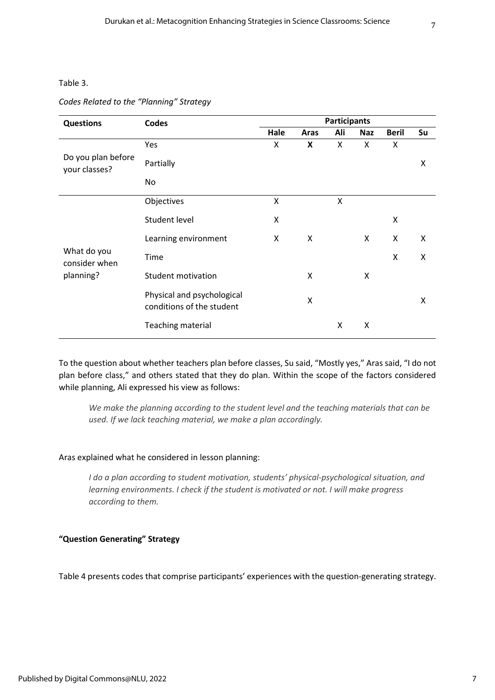#### Table 3.

#### *Codes Related to the "Planning" Strategy*

| <b>Questions</b>                    | Codes                                                   |      |                           | <b>Participants</b> |            |              |    |
|-------------------------------------|---------------------------------------------------------|------|---------------------------|---------------------|------------|--------------|----|
|                                     |                                                         | Hale | Aras                      | Ali                 | <b>Naz</b> | <b>Beril</b> | Su |
|                                     | Yes                                                     | X    | $\boldsymbol{\mathsf{X}}$ | X                   | X          | X            |    |
| Do you plan before<br>your classes? | Partially                                               |      |                           |                     |            |              | Χ  |
|                                     | No                                                      |      |                           |                     |            |              |    |
|                                     | Objectives                                              | X    |                           | X                   |            |              |    |
|                                     | <b>Student level</b>                                    | Χ    |                           |                     |            | Χ            |    |
|                                     | Learning environment                                    | X    | X                         |                     | X          | X            | Χ  |
| What do you<br>consider when        | Time                                                    |      |                           |                     |            | X            | Χ  |
| planning?                           | <b>Student motivation</b>                               |      | X                         |                     | X          |              |    |
|                                     | Physical and psychological<br>conditions of the student |      | X                         |                     |            |              | X  |
|                                     | <b>Teaching material</b>                                |      |                           | X                   | X          |              |    |

To the question about whether teachers plan before classes, Su said, "Mostly yes," Aras said, "I do not plan before class," and others stated that they do plan. Within the scope of the factors considered while planning, Ali expressed his view as follows:

*We make the planning according to the student level and the teaching materials that can be used. If we lack teaching material, we make a plan accordingly.*

#### Aras explained what he considered in lesson planning:

*I do a plan according to student motivation, students' physical-psychological situation, and learning environments. I check if the student is motivated or not. I will make progress according to them.* 

#### **"Question Generating" Strategy**

Table 4 presents codes that comprise participants' experiences with the question-generating strategy.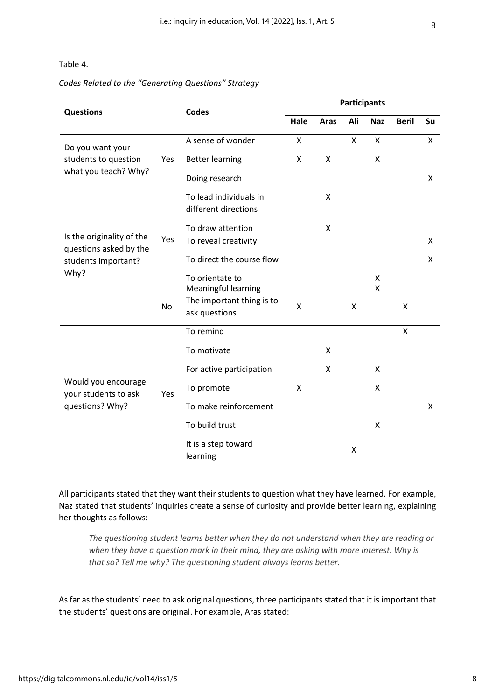Table 4.

#### *Codes Related to the "Generating Questions" Strategy*

| <b>Questions</b>                                                           |           | <b>Codes</b>                               |      |         | <b>Participants</b> |                         |                    |    |
|----------------------------------------------------------------------------|-----------|--------------------------------------------|------|---------|---------------------|-------------------------|--------------------|----|
|                                                                            |           |                                            | Hale | Aras    | Ali                 | <b>Naz</b>              | <b>Beril</b>       | Su |
| Do you want your                                                           |           | A sense of wonder                          | X    |         | X                   | X                       |                    | X  |
| students to question                                                       | Yes       | <b>Better learning</b>                     | X    | X       |                     | X                       |                    |    |
| what you teach? Why?                                                       |           | Doing research                             |      |         |                     |                         |                    | X  |
|                                                                            |           | To lead individuals in                     |      | $\sf X$ |                     |                         |                    |    |
|                                                                            |           | different directions                       |      |         |                     |                         |                    |    |
| Is the originality of the<br>questions asked by the<br>students important? |           | To draw attention                          |      | X       |                     |                         |                    |    |
|                                                                            | Yes       | To reveal creativity                       |      |         |                     |                         |                    | X  |
|                                                                            |           | To direct the course flow                  |      |         |                     |                         |                    | X  |
| Why?                                                                       |           | To orientate to<br>Meaningful learning     |      |         |                     | $\pmb{\mathsf{X}}$<br>X |                    |    |
|                                                                            | <b>No</b> | The important thing is to<br>ask questions | Χ    |         | X                   |                         | X                  |    |
|                                                                            |           | To remind                                  |      |         |                     |                         | $\pmb{\mathsf{X}}$ |    |
|                                                                            |           | To motivate                                |      | X       |                     |                         |                    |    |
|                                                                            |           | For active participation                   |      | X       |                     | X                       |                    |    |
| Would you encourage<br>your students to ask                                | Yes       | To promote                                 | X    |         |                     | X                       |                    |    |
| questions? Why?                                                            |           | To make reinforcement                      |      |         |                     |                         |                    | X  |
|                                                                            |           | To build trust                             |      |         |                     | X                       |                    |    |
|                                                                            |           | It is a step toward<br>learning            |      |         | X                   |                         |                    |    |

All participants stated that they want their students to question what they have learned. For example, Naz stated that students' inquiries create a sense of curiosity and provide better learning, explaining her thoughts as follows:

*The questioning student learns better when they do not understand when they are reading or when they have a question mark in their mind, they are asking with more interest. Why is that so? Tell me why? The questioning student always learns better.* 

As far as the students' need to ask original questions, three participants stated that it is important that the students' questions are original. For example, Aras stated: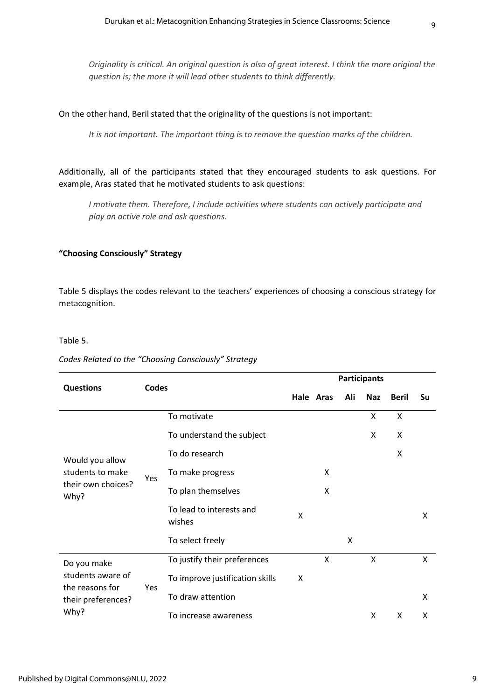*Originality is critical. An original question is also of great interest. I think the more original the question is; the more it will lead other students to think differently.*

#### On the other hand, Beril stated that the originality of the questions is not important:

*It is not important. The important thing is to remove the question marks of the children.*

Additionally, all of the participants stated that they encouraged students to ask questions. For example, Aras stated that he motivated students to ask questions:

*I motivate them. Therefore, I include activities where students can actively participate and play an active role and ask questions.*

#### **"Choosing Consciously" Strategy**

Table 5 displays the codes relevant to the teachers' experiences of choosing a conscious strategy for metacognition.

#### Table 5.

#### *Codes Related to the "Choosing Consciously" Strategy*

|                                                                   | Codes |                                    | <b>Participants</b> |           |     |            |              |              |  |  |
|-------------------------------------------------------------------|-------|------------------------------------|---------------------|-----------|-----|------------|--------------|--------------|--|--|
| <b>Questions</b>                                                  |       |                                    |                     | Hale Aras | Ali | <b>Naz</b> | <b>Beril</b> | Su           |  |  |
|                                                                   |       | To motivate                        |                     |           |     | Χ          | X            |              |  |  |
|                                                                   | Yes   | To understand the subject          |                     |           |     | X          | X            |              |  |  |
| Would you allow<br>students to make<br>their own choices?<br>Why? |       | To do research                     |                     |           |     |            | X            |              |  |  |
|                                                                   |       | To make progress                   |                     | X         |     |            |              |              |  |  |
|                                                                   |       | To plan themselves                 |                     | X         |     |            |              |              |  |  |
|                                                                   |       | To lead to interests and<br>wishes | X                   |           |     |            |              | X            |  |  |
|                                                                   |       | To select freely                   |                     |           | X   |            |              |              |  |  |
| Do you make                                                       |       | To justify their preferences       |                     | X         |     | X          |              | $\mathsf{x}$ |  |  |
| students aware of                                                 |       | To improve justification skills    | X                   |           |     |            |              |              |  |  |
| the reasons for<br>their preferences?                             | Yes   | To draw attention                  |                     |           |     |            |              | X            |  |  |
| Why?                                                              |       | To increase awareness              |                     |           |     | X          | X            | X            |  |  |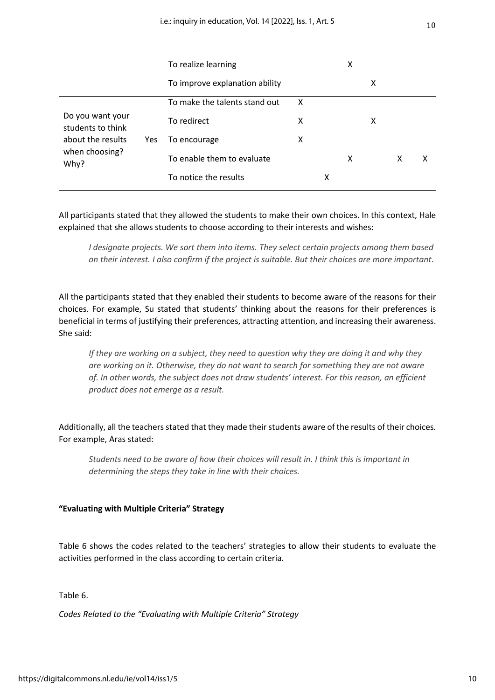|                                       |     | To realize learning            |   | X |   |   |   |   |
|---------------------------------------|-----|--------------------------------|---|---|---|---|---|---|
|                                       |     | To improve explanation ability |   |   |   | X |   |   |
|                                       |     | To make the talents stand out  | x |   |   |   |   |   |
| Do you want your<br>students to think |     | To redirect                    | x |   |   | х |   |   |
| about the results                     | Yes | To encourage                   | x |   |   |   |   |   |
| when choosing?<br>Why?                |     | To enable them to evaluate     |   |   | x |   | x | х |
|                                       |     | To notice the results          |   | x |   |   |   |   |

All participants stated that they allowed the students to make their own choices. In this context, Hale explained that she allows students to choose according to their interests and wishes:

*I designate projects. We sort them into items. They select certain projects among them based on their interest. I also confirm if the project is suitable. But their choices are more important.* 

All the participants stated that they enabled their students to become aware of the reasons for their choices. For example, Su stated that students' thinking about the reasons for their preferences is beneficial in terms of justifying their preferences, attracting attention, and increasing their awareness. She said:

*If they are working on a subject, they need to question why they are doing it and why they are working on it. Otherwise, they do not want to search for something they are not aware of. In other words, the subject does not draw students' interest. For this reason, an efficient product does not emerge as a result.*

Additionally, all the teachers stated that they made their students aware of the results of their choices. For example, Aras stated:

*Students need to be aware of how their choices will result in. I think this is important in determining the steps they take in line with their choices.*

#### **"Evaluating with Multiple Criteria" Strategy**

Table 6 shows the codes related to the teachers' strategies to allow their students to evaluate the activities performed in the class according to certain criteria.

Table 6.

*Codes Related to the "Evaluating with Multiple Criteria" Strategy*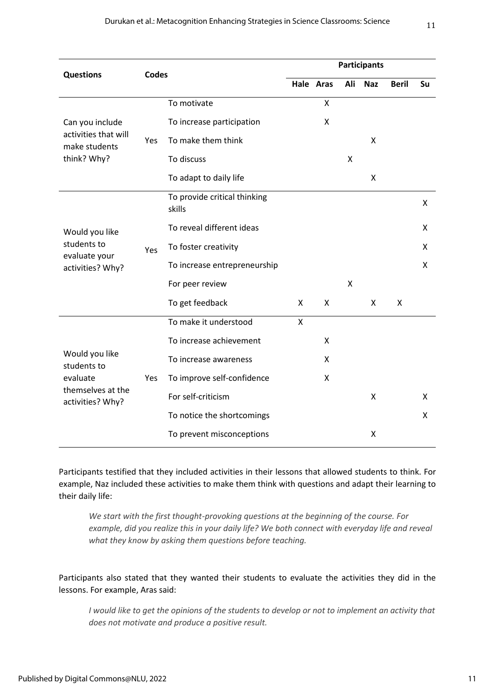| <b>Codes</b><br><b>Questions</b><br>Hale Aras<br>X<br>To motivate<br>To increase participation<br>X<br>Can you include<br>activities that will<br>To make them think<br>Yes<br>make students<br>think? Why?<br>To discuss<br>To adapt to daily life<br>To provide critical thinking<br>skills<br>To reveal different ideas<br>Would you like<br>students to<br>To foster creativity<br>Yes<br>evaluate your<br>To increase entrepreneurship<br>activities? Why?<br>For peer review<br>To get feedback<br>$\mathsf{x}$<br>X<br>To make it understood<br>X<br>To increase achievement<br>X<br>Would you like<br>To increase awareness<br>X<br>students to<br>evaluate<br>To improve self-confidence<br>X<br>Yes<br>themselves at the<br>activities? Why? | Ali                        | <b>Naz</b> | <b>Beril</b> | Su           |                     |   |
|--------------------------------------------------------------------------------------------------------------------------------------------------------------------------------------------------------------------------------------------------------------------------------------------------------------------------------------------------------------------------------------------------------------------------------------------------------------------------------------------------------------------------------------------------------------------------------------------------------------------------------------------------------------------------------------------------------------------------------------------------------|----------------------------|------------|--------------|--------------|---------------------|---|
|                                                                                                                                                                                                                                                                                                                                                                                                                                                                                                                                                                                                                                                                                                                                                        |                            |            |              |              |                     |   |
|                                                                                                                                                                                                                                                                                                                                                                                                                                                                                                                                                                                                                                                                                                                                                        |                            |            |              |              |                     |   |
|                                                                                                                                                                                                                                                                                                                                                                                                                                                                                                                                                                                                                                                                                                                                                        |                            |            |              | $\mathsf{X}$ |                     |   |
|                                                                                                                                                                                                                                                                                                                                                                                                                                                                                                                                                                                                                                                                                                                                                        |                            |            | X            |              |                     |   |
|                                                                                                                                                                                                                                                                                                                                                                                                                                                                                                                                                                                                                                                                                                                                                        |                            |            |              | Χ            |                     |   |
|                                                                                                                                                                                                                                                                                                                                                                                                                                                                                                                                                                                                                                                                                                                                                        |                            |            |              |              |                     | X |
|                                                                                                                                                                                                                                                                                                                                                                                                                                                                                                                                                                                                                                                                                                                                                        |                            |            |              |              |                     | X |
|                                                                                                                                                                                                                                                                                                                                                                                                                                                                                                                                                                                                                                                                                                                                                        |                            |            |              |              |                     | X |
|                                                                                                                                                                                                                                                                                                                                                                                                                                                                                                                                                                                                                                                                                                                                                        |                            |            |              |              |                     | X |
|                                                                                                                                                                                                                                                                                                                                                                                                                                                                                                                                                                                                                                                                                                                                                        |                            |            | X            |              |                     |   |
|                                                                                                                                                                                                                                                                                                                                                                                                                                                                                                                                                                                                                                                                                                                                                        |                            |            |              | X            | $\mathsf{x}$        |   |
|                                                                                                                                                                                                                                                                                                                                                                                                                                                                                                                                                                                                                                                                                                                                                        |                            |            |              |              |                     |   |
|                                                                                                                                                                                                                                                                                                                                                                                                                                                                                                                                                                                                                                                                                                                                                        |                            |            |              |              |                     |   |
|                                                                                                                                                                                                                                                                                                                                                                                                                                                                                                                                                                                                                                                                                                                                                        |                            |            |              |              |                     |   |
|                                                                                                                                                                                                                                                                                                                                                                                                                                                                                                                                                                                                                                                                                                                                                        |                            |            |              |              |                     |   |
|                                                                                                                                                                                                                                                                                                                                                                                                                                                                                                                                                                                                                                                                                                                                                        | For self-criticism         |            |              | Χ            |                     | X |
|                                                                                                                                                                                                                                                                                                                                                                                                                                                                                                                                                                                                                                                                                                                                                        | To notice the shortcomings |            |              |              |                     | X |
|                                                                                                                                                                                                                                                                                                                                                                                                                                                                                                                                                                                                                                                                                                                                                        | To prevent misconceptions  |            |              | X            |                     |   |
|                                                                                                                                                                                                                                                                                                                                                                                                                                                                                                                                                                                                                                                                                                                                                        |                            |            |              |              | <b>Participants</b> |   |

Participants testified that they included activities in their lessons that allowed students to think. For example, Naz included these activities to make them think with questions and adapt their learning to their daily life:

*We start with the first thought-provoking questions at the beginning of the course. For example, did you realize this in your daily life? We both connect with everyday life and reveal what they know by asking them questions before teaching.*

Participants also stated that they wanted their students to evaluate the activities they did in the lessons. For example, Aras said:

*I would like to get the opinions of the students to develop or not to implement an activity that does not motivate and produce a positive result.*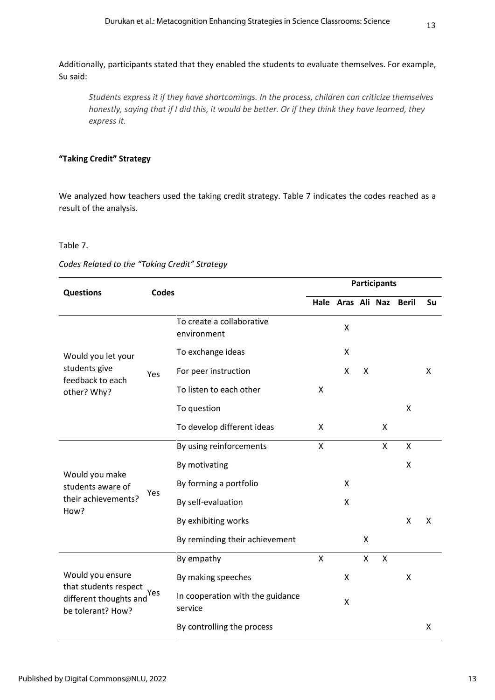Additionally, participants stated that they enabled the students to evaluate themselves. For example, Su said:

*Students express it if they have shortcomings. In the process, children can criticize themselves honestly, saying that if I did this, it would be better. Or if they think they have learned, they express it.*

#### **"Taking Credit" Strategy**

We analyzed how teachers used the taking credit strategy. Table 7 indicates the codes reached as a result of the analysis.

#### Table 7.

*Codes Related to the "Taking Credit" Strategy*

| <b>Questions</b>                                                     | <b>Codes</b> |                                             |   |                    |   | <b>Participants</b>       |              |    |
|----------------------------------------------------------------------|--------------|---------------------------------------------|---|--------------------|---|---------------------------|--------------|----|
|                                                                      |              |                                             |   | Hale               |   | Aras Ali Naz              | <b>Beril</b> | Su |
|                                                                      |              | To create a collaborative<br>environment    |   | X                  |   |                           |              |    |
| Would you let your                                                   |              | To exchange ideas                           |   | $\pmb{\mathsf{X}}$ |   |                           |              |    |
| students give<br>feedback to each<br>other? Why?                     | Yes          | For peer instruction                        |   | X                  | X |                           |              | X  |
|                                                                      |              | To listen to each other                     | X |                    |   |                           |              |    |
|                                                                      |              | To question                                 |   |                    |   |                           | Χ            |    |
|                                                                      |              | To develop different ideas                  | X |                    |   | X                         |              |    |
|                                                                      |              | By using reinforcements                     | X |                    |   | X                         | X            |    |
|                                                                      |              | By motivating                               |   |                    |   |                           | Χ            |    |
| Would you make<br>students aware of                                  | Yes          | By forming a portfolio                      |   | X                  |   |                           |              |    |
| their achievements?<br>How?                                          |              | By self-evaluation                          |   | X                  |   |                           |              |    |
|                                                                      |              | By exhibiting works                         |   |                    |   |                           | X            | X  |
|                                                                      |              | By reminding their achievement              |   |                    | X |                           |              |    |
|                                                                      |              | By empathy                                  | X |                    | X | $\boldsymbol{\mathsf{X}}$ |              |    |
| Would you ensure                                                     |              | By making speeches                          |   | $\pmb{\mathsf{X}}$ |   |                           | Χ            |    |
| that students respect<br>different thoughts and<br>be tolerant? How? | Yes          | In cooperation with the guidance<br>service |   | X                  |   |                           |              |    |
|                                                                      |              | By controlling the process                  |   |                    |   |                           |              | Χ  |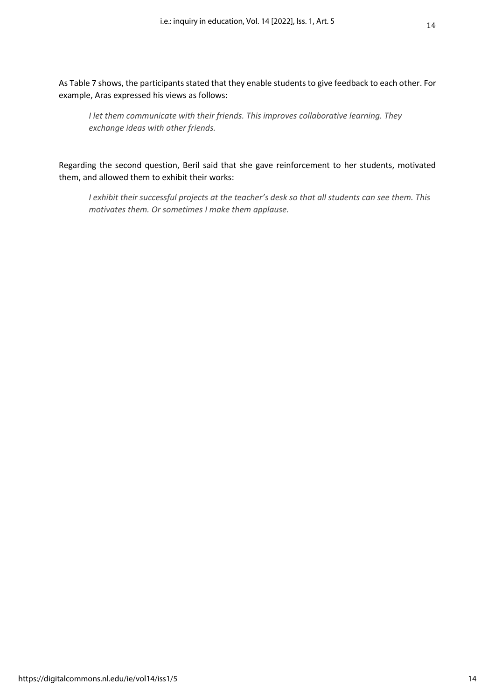As Table 7 shows, the participants stated that they enable students to give feedback to each other. For example, Aras expressed his views as follows:

*I let them communicate with their friends. This improves collaborative learning. They exchange ideas with other friends.*

Regarding the second question, Beril said that she gave reinforcement to her students, motivated them, and allowed them to exhibit their works:

*I exhibit their successful projects at the teacher's desk so that all students can see them. This motivates them. Or sometimes I make them applause.*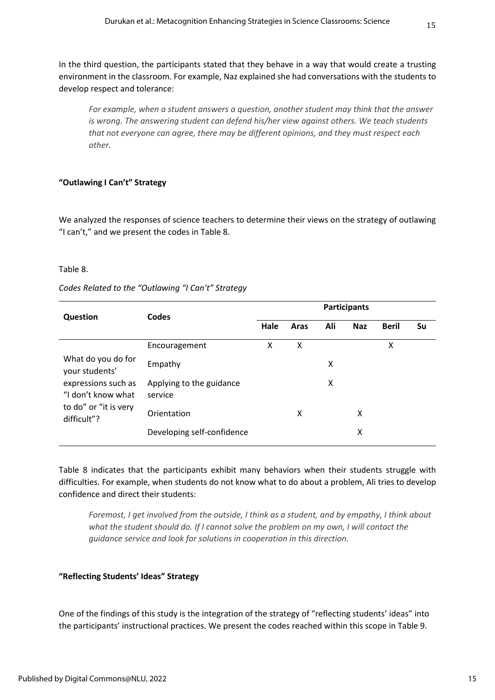In the third question, the participants stated that they behave in a way that would create a trusting environment in the classroom. For example, Naz explained she had conversations with the students to develop respect and tolerance:

*For example, when a student answers a question, another student may think that the answer is wrong. The answering student can defend his/her view against others. We teach students that not everyone can agree, there may be different opinions, and they must respect each other.*

#### **"Outlawing I Can't" Strategy**

We analyzed the responses of science teachers to determine their views on the strategy of outlawing "I can't," and we present the codes in Table 8.

#### Table 8.

| Codes Related to the "Outlawing "I Can't" Strategy |  |  |
|----------------------------------------------------|--|--|
|----------------------------------------------------|--|--|

| Question                                  | Codes                               | <b>Participants</b> |      |     |            |              |    |  |  |  |
|-------------------------------------------|-------------------------------------|---------------------|------|-----|------------|--------------|----|--|--|--|
|                                           |                                     | Hale                | Aras | Ali | <b>Naz</b> | <b>Beril</b> | Su |  |  |  |
|                                           | Encouragement                       | X                   | X    |     |            | x            |    |  |  |  |
| What do you do for<br>your students'      | Empathy                             |                     |      | x   |            |              |    |  |  |  |
| expressions such as<br>"I don't know what | Applying to the guidance<br>service |                     |      | X   |            |              |    |  |  |  |
| to do" or "it is very<br>difficult"?      | Orientation                         |                     | X    |     | x          |              |    |  |  |  |
|                                           | Developing self-confidence          |                     |      |     | x          |              |    |  |  |  |

Table 8 indicates that the participants exhibit many behaviors when their students struggle with difficulties. For example, when students do not know what to do about a problem, Ali tries to develop confidence and direct their students:

*Foremost, I get involved from the outside, I think as a student, and by empathy, I think about what the student should do. If I cannot solve the problem on my own, I will contact the guidance service and look for solutions in cooperation in this direction.*

#### **"Reflecting Students' Ideas" Strategy**

One of the findings of this study is the integration of the strategy of "reflecting students' ideas" into the participants' instructional practices. We present the codes reached within this scope in Table 9.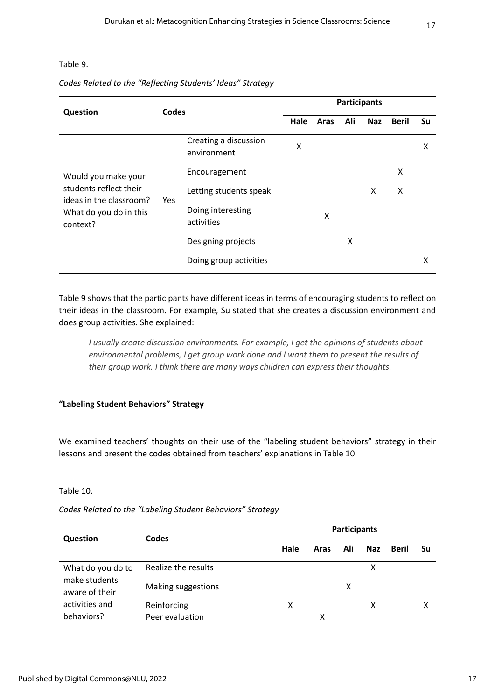#### Table 9.

#### *Codes Related to the "Reflecting Students' Ideas" Strategy*

| Question                                                                                                       |     | <b>Codes</b>                         |      | <b>Participants</b> |     |            |              |    |  |  |
|----------------------------------------------------------------------------------------------------------------|-----|--------------------------------------|------|---------------------|-----|------------|--------------|----|--|--|
|                                                                                                                |     |                                      | Hale | Aras                | Ali | <b>Naz</b> | <b>Beril</b> | Su |  |  |
| Would you make your<br>students reflect their<br>ideas in the classroom?<br>What do you do in this<br>context? |     | Creating a discussion<br>environment | Χ    |                     |     |            |              | x  |  |  |
|                                                                                                                |     | Encouragement                        |      |                     |     |            | X            |    |  |  |
|                                                                                                                | Yes | Letting students speak               |      |                     |     | X          | X            |    |  |  |
|                                                                                                                |     | Doing interesting<br>activities      |      | x                   |     |            |              |    |  |  |
|                                                                                                                |     | Designing projects                   |      |                     | x   |            |              |    |  |  |
|                                                                                                                |     | Doing group activities               |      |                     |     |            |              | X  |  |  |

Table 9 shows that the participants have different ideas in terms of encouraging students to reflect on their ideas in the classroom. For example, Su stated that she creates a discussion environment and does group activities. She explained:

*I usually create discussion environments. For example, I get the opinions of students about environmental problems, I get group work done and I want them to present the results of their group work. I think there are many ways children can express their thoughts.*

#### **"Labeling Student Behaviors" Strategy**

We examined teachers' thoughts on their use of the "labeling student behaviors" strategy in their lessons and present the codes obtained from teachers' explanations in Table 10.

#### Table 10.

| Question                           | Codes               | <b>Participants</b> |      |     |            |       |    |  |  |  |
|------------------------------------|---------------------|---------------------|------|-----|------------|-------|----|--|--|--|
|                                    |                     | Hale                | Aras | Ali | <b>Naz</b> | Beril | Su |  |  |  |
| What do you do to                  | Realize the results |                     |      |     | χ          |       |    |  |  |  |
| make students<br>aware of their    | Making suggestions  | x                   |      |     |            |       |    |  |  |  |
| activities and                     | Reinforcing         | X                   |      |     | χ          |       | χ  |  |  |  |
| behaviors?<br>Peer evaluation<br>χ |                     |                     |      |     |            |       |    |  |  |  |

*Codes Related to the "Labeling Student Behaviors" Strategy*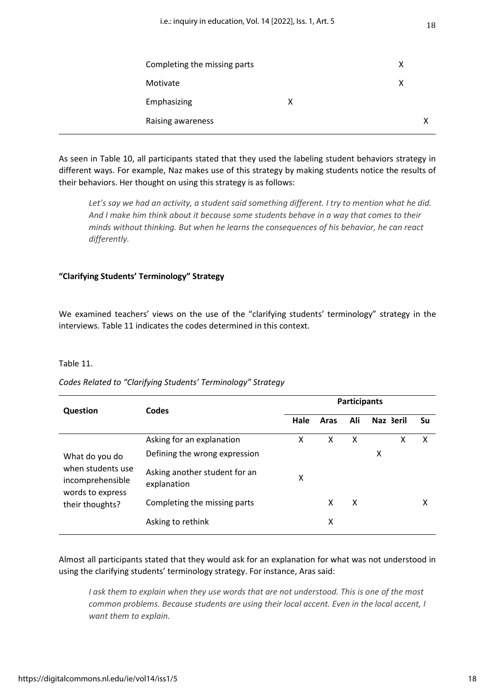| Completing the missing parts |   | X |  |
|------------------------------|---|---|--|
| Motivate                     |   | X |  |
| Emphasizing                  | X |   |  |
| Raising awareness            |   |   |  |

As seen in Table 10, all participants stated that they used the labeling student behaviors strategy in different ways. For example, Naz makes use of this strategy by making students notice the results of their behaviors. Her thought on using this strategy is as follows:

*Let's say we had an activity, a student said something different. I try to mention what he did. And I make him think about it because some students behave in a way that comes to their minds without thinking. But when he learns the consequences of his behavior, he can react differently.* 

#### **"Clarifying Students' Terminology" Strategy**

We examined teachers' views on the use of the "clarifying students' terminology" strategy in the interviews. Table 11 indicates the codes determined in this context.

#### Table 11.

#### *Codes Related to "Clarifying Students' Terminology" Strategy*

|                                                                                                | Codes                                        | <b>Participants</b> |      |     |           |    |  |  |  |
|------------------------------------------------------------------------------------------------|----------------------------------------------|---------------------|------|-----|-----------|----|--|--|--|
| <b>Question</b>                                                                                |                                              | Hale                | Aras | Ali | Naz 3eril | Su |  |  |  |
|                                                                                                | Asking for an explanation                    | x                   | X    | X   | x         | x  |  |  |  |
| What do you do<br>when students use<br>incomprehensible<br>words to express<br>their thoughts? | Defining the wrong expression                |                     |      |     | X         |    |  |  |  |
|                                                                                                | Asking another student for an<br>explanation | X                   |      |     |           |    |  |  |  |
|                                                                                                | Completing the missing parts                 |                     | X    | X   |           | x  |  |  |  |
|                                                                                                | Asking to rethink                            |                     | х    |     |           |    |  |  |  |

Almost all participants stated that they would ask for an explanation for what was not understood in using the clarifying students' terminology strategy. For instance, Aras said:

*I* ask them to explain when they use words that are not understood. This is one of the most *common problems. Because students are using their local accent. Even in the local accent, I want them to explain.*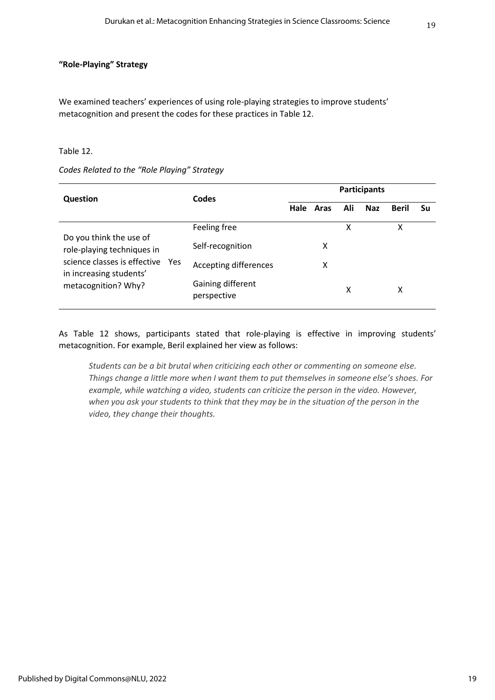#### **"Role-Playing" Strategy**

We examined teachers' experiences of using role-playing strategies to improve students' metacognition and present the codes for these practices in Table 12.

#### Table 12.

#### *Codes Related to the "Role Playing" Strategy*

| <b>Question</b>                                         |     | Codes                            |      |      | <b>Participants</b> |            |              |    |
|---------------------------------------------------------|-----|----------------------------------|------|------|---------------------|------------|--------------|----|
|                                                         |     |                                  | Hale | Aras | Ali                 | <b>Naz</b> | <b>Beril</b> | Su |
| Do you think the use of                                 |     | Feeling free                     |      |      | X                   |            | Χ            |    |
| role-playing techniques in                              |     | Self-recognition                 |      | X    |                     |            |              |    |
| science classes is effective<br>in increasing students' | Yes | Accepting differences            |      | x    |                     |            |              |    |
| metacognition? Why?                                     |     | Gaining different<br>perspective |      |      | х                   |            | x            |    |

As Table 12 shows, participants stated that role-playing is effective in improving students' metacognition. For example, Beril explained her view as follows:

*Students can be a bit brutal when criticizing each other or commenting on someone else. Things change a little more when I want them to put themselves in someone else's shoes. For example, while watching a video, students can criticize the person in the video. However, when you ask your students to think that they may be in the situation of the person in the video, they change their thoughts.*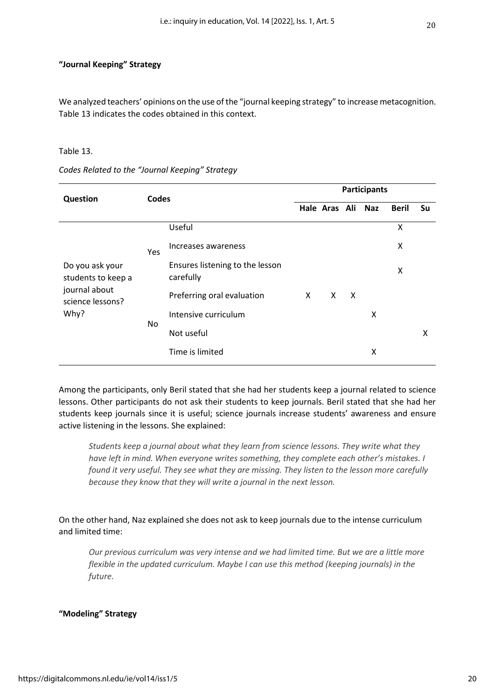#### **"Journal Keeping" Strategy**

We analyzed teachers' opinions on the use of the "journal keeping strategy" to increase metacognition. Table 13 indicates the codes obtained in this context.

#### Table 13.

| Question                                                                           | Codes |                                              | <b>Participants</b> |               |                           |            |              |    |  |  |
|------------------------------------------------------------------------------------|-------|----------------------------------------------|---------------------|---------------|---------------------------|------------|--------------|----|--|--|
|                                                                                    |       |                                              |                     | Hale Aras Ali |                           | <b>Naz</b> | <b>Beril</b> | Su |  |  |
|                                                                                    |       | Useful                                       |                     |               |                           |            | Χ            |    |  |  |
| Do you ask your<br>students to keep a<br>journal about<br>science lessons?<br>Why? | Yes   | Increases awareness                          |                     |               |                           |            | X            |    |  |  |
|                                                                                    |       | Ensures listening to the lesson<br>carefully |                     |               |                           |            | X            |    |  |  |
|                                                                                    |       | Preferring oral evaluation                   | X                   | X             | $\boldsymbol{\mathsf{X}}$ |            |              |    |  |  |
|                                                                                    | No.   | Intensive curriculum                         |                     |               |                           | X          |              |    |  |  |
|                                                                                    |       | Not useful                                   |                     |               |                           |            |              | X  |  |  |
|                                                                                    |       | Time is limited                              |                     |               |                           | X          |              |    |  |  |
|                                                                                    |       |                                              |                     |               |                           |            |              |    |  |  |

*Codes Related to the "Journal Keeping" Strategy*

Among the participants, only Beril stated that she had her students keep a journal related to science lessons. Other participants do not ask their students to keep journals. Beril stated that she had her students keep journals since it is useful; science journals increase students' awareness and ensure active listening in the lessons. She explained:

*Students keep a journal about what they learn from science lessons. They write what they have left in mind. When everyone writes something, they complete each other's mistakes. I found it very useful. They see what they are missing. They listen to the lesson more carefully because they know that they will write a journal in the next lesson.*

On the other hand, Naz explained she does not ask to keep journals due to the intense curriculum and limited time:

*Our previous curriculum was very intense and we had limited time. But we are a little more flexible in the updated curriculum. Maybe I can use this method (keeping journals) in the future.*

#### **"Modeling" Strategy**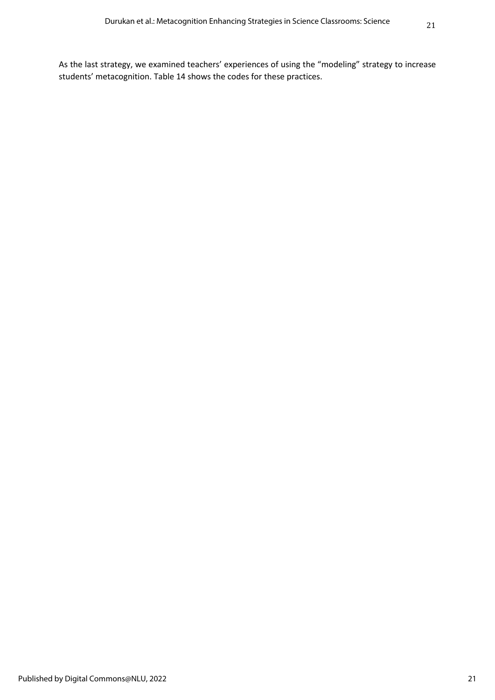As the last strategy, we examined teachers' experiences of using the "modeling" strategy to increase students' metacognition. Table 14 shows the codes for these practices.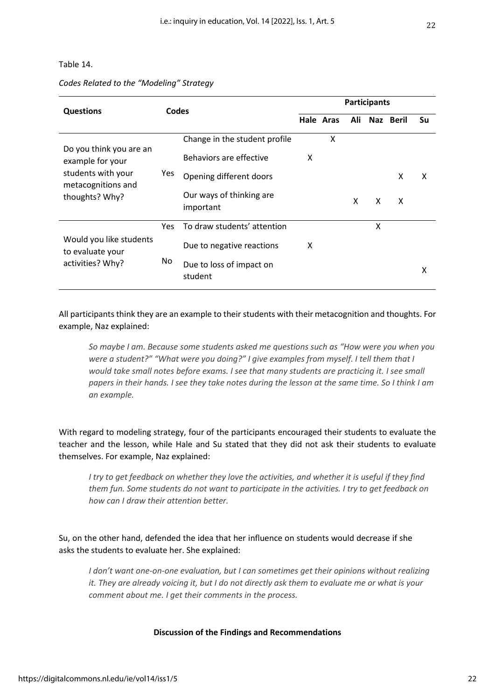#### Table 14.

#### *Codes Related to the "Modeling" Strategy*

| <b>Questions</b>                                           |     | Codes                                 |   | <b>Participants</b> |     |   |           |    |  |  |
|------------------------------------------------------------|-----|---------------------------------------|---|---------------------|-----|---|-----------|----|--|--|
|                                                            |     |                                       |   | Hale Aras           | Ali |   | Naz Beril | Su |  |  |
|                                                            |     | Change in the student profile         |   | X                   |     |   |           |    |  |  |
| Do you think you are an<br>example for your                |     | Behaviors are effective               | X |                     |     |   |           |    |  |  |
| students with your<br>metacognitions and<br>thoughts? Why? | Yes | Opening different doors               |   |                     |     |   | X         | x  |  |  |
|                                                            |     | Our ways of thinking are<br>important |   |                     | X   | X | X         |    |  |  |
|                                                            | Yes | To draw students' attention           |   |                     |     | X |           |    |  |  |
| Would you like students<br>to evaluate your                |     | Due to negative reactions             | x |                     |     |   |           |    |  |  |
| activities? Why?                                           | No. | Due to loss of impact on<br>student   |   |                     |     |   |           | x  |  |  |

All participants think they are an example to their students with their metacognition and thoughts. For example, Naz explained:

*So maybe I am. Because some students asked me questions such as "How were you when you were a student?" "What were you doing?" I give examples from myself. I tell them that I*  would take small notes before exams. I see that many students are practicing it. I see small *papers in their hands. I see they take notes during the lesson at the same time. So I think I am an example.*

With regard to modeling strategy, four of the participants encouraged their students to evaluate the teacher and the lesson, while Hale and Su stated that they did not ask their students to evaluate themselves. For example, Naz explained:

*I try to get feedback on whether they love the activities, and whether it is useful if they find them fun. Some students do not want to participate in the activities. I try to get feedback on how can I draw their attention better.*

Su, on the other hand, defended the idea that her influence on students would decrease if she asks the students to evaluate her. She explained:

*I don't want one-on-one evaluation, but I can sometimes get their opinions without realizing it. They are already voicing it, but I do not directly ask them to evaluate me or what is your comment about me. I get their comments in the process.*

#### **Discussion of the Findings and Recommendations**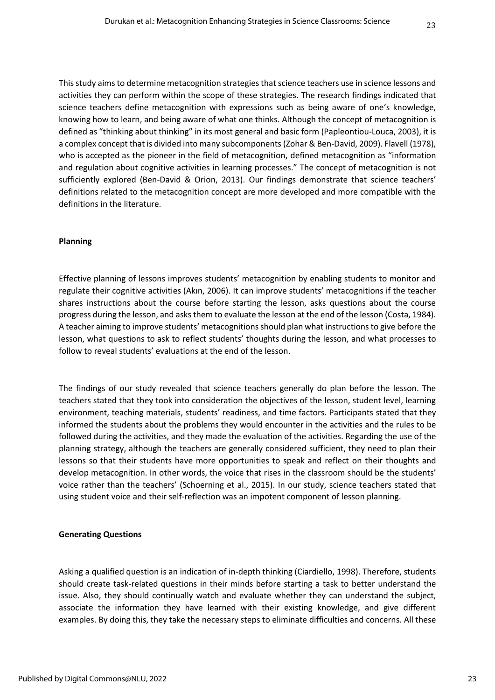This study aims to determine metacognition strategies that science teachers use in science lessons and activities they can perform within the scope of these strategies. The research findings indicated that science teachers define metacognition with expressions such as being aware of one's knowledge, knowing how to learn, and being aware of what one thinks. Although the concept of metacognition is defined as "thinking about thinking" in its most general and basic form (Papleontiou-Louca, 2003), it is a complex concept that is divided into many subcomponents (Zohar & Ben-David, 2009). Flavell (1978), who is accepted as the pioneer in the field of metacognition, defined metacognition as "information and regulation about cognitive activities in learning processes." The concept of metacognition is not sufficiently explored (Ben-David & Orion, 2013). Our findings demonstrate that science teachers' definitions related to the metacognition concept are more developed and more compatible with the definitions in the literature.

#### **Planning**

Effective planning of lessons improves students' metacognition by enabling students to monitor and regulate their cognitive activities (Akın, 2006). It can improve students' metacognitions if the teacher shares instructions about the course before starting the lesson, asks questions about the course progress during the lesson, and asks them to evaluate the lesson at the end of the lesson (Costa, 1984). A teacher aiming to improve students' metacognitions should plan what instructions to give before the lesson, what questions to ask to reflect students' thoughts during the lesson, and what processes to follow to reveal students' evaluations at the end of the lesson.

The findings of our study revealed that science teachers generally do plan before the lesson. The teachers stated that they took into consideration the objectives of the lesson, student level, learning environment, teaching materials, students' readiness, and time factors. Participants stated that they informed the students about the problems they would encounter in the activities and the rules to be followed during the activities, and they made the evaluation of the activities. Regarding the use of the planning strategy, although the teachers are generally considered sufficient, they need to plan their lessons so that their students have more opportunities to speak and reflect on their thoughts and develop metacognition. In other words, the voice that rises in the classroom should be the students' voice rather than the teachers' (Schoerning et al., 2015). In our study, science teachers stated that using student voice and their self-reflection was an impotent component of lesson planning.

#### **Generating Questions**

Asking a qualified question is an indication of in-depth thinking (Ciardiello, 1998). Therefore, students should create task-related questions in their minds before starting a task to better understand the issue. Also, they should continually watch and evaluate whether they can understand the subject, associate the information they have learned with their existing knowledge, and give different examples. By doing this, they take the necessary steps to eliminate difficulties and concerns. All these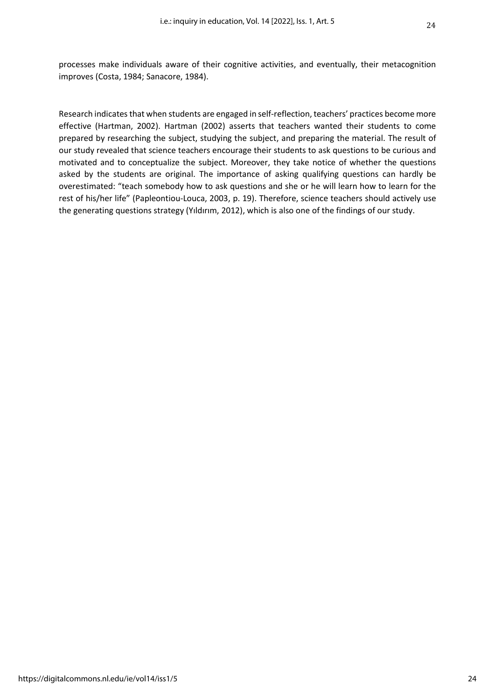processes make individuals aware of their cognitive activities, and eventually, their metacognition improves (Costa, 1984; Sanacore, 1984).

Research indicates that when students are engaged in self-reflection, teachers' practices become more effective (Hartman, 2002). Hartman (2002) asserts that teachers wanted their students to come prepared by researching the subject, studying the subject, and preparing the material. The result of our study revealed that science teachers encourage their students to ask questions to be curious and motivated and to conceptualize the subject. Moreover, they take notice of whether the questions asked by the students are original. The importance of asking qualifying questions can hardly be overestimated: "teach somebody how to ask questions and she or he will learn how to learn for the rest of his/her life" (Papleontiou-Louca, 2003, p. 19). Therefore, science teachers should actively use the generating questions strategy (Yıldırım, 2012), which is also one of the findings of our study.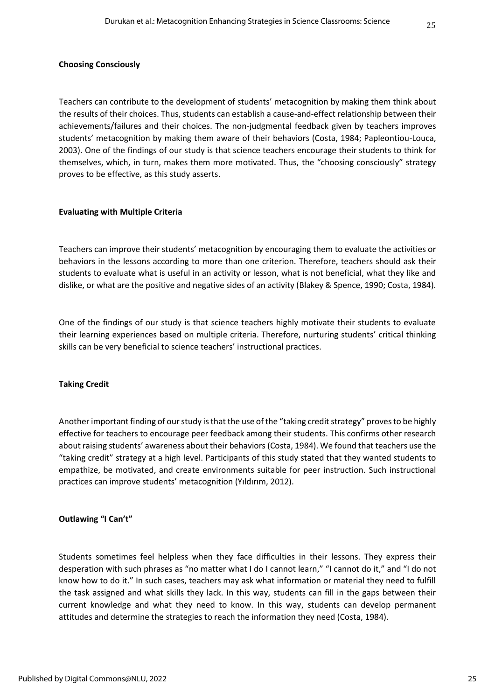#### **Choosing Consciously**

Teachers can contribute to the development of students' metacognition by making them think about the results of their choices. Thus, students can establish a cause-and-effect relationship between their achievements/failures and their choices. The non-judgmental feedback given by teachers improves students' metacognition by making them aware of their behaviors (Costa, 1984; Papleontiou-Louca, 2003). One of the findings of our study is that science teachers encourage their students to think for themselves, which, in turn, makes them more motivated. Thus, the "choosing consciously" strategy proves to be effective, as this study asserts.

#### **Evaluating with Multiple Criteria**

Teachers can improve their students' metacognition by encouraging them to evaluate the activities or behaviors in the lessons according to more than one criterion. Therefore, teachers should ask their students to evaluate what is useful in an activity or lesson, what is not beneficial, what they like and dislike, or what are the positive and negative sides of an activity (Blakey & Spence, 1990; Costa, 1984).

One of the findings of our study is that science teachers highly motivate their students to evaluate their learning experiences based on multiple criteria. Therefore, nurturing students' critical thinking skills can be very beneficial to science teachers' instructional practices.

#### **Taking Credit**

Another important finding of our study is that the use of the "taking credit strategy" proves to be highly effective for teachers to encourage peer feedback among their students. This confirms other research about raising students' awareness about their behaviors (Costa, 1984). We found that teachers use the "taking credit" strategy at a high level. Participants of this study stated that they wanted students to empathize, be motivated, and create environments suitable for peer instruction. Such instructional practices can improve students' metacognition (Yıldırım, 2012).

#### **Outlawing "I Can't"**

Students sometimes feel helpless when they face difficulties in their lessons. They express their desperation with such phrases as "no matter what I do I cannot learn," "I cannot do it," and "I do not know how to do it." In such cases, teachers may ask what information or material they need to fulfill the task assigned and what skills they lack. In this way, students can fill in the gaps between their current knowledge and what they need to know. In this way, students can develop permanent attitudes and determine the strategies to reach the information they need (Costa, 1984).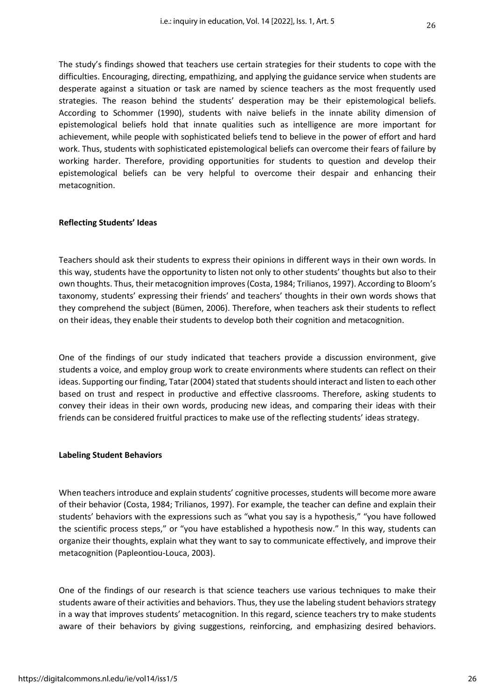The study's findings showed that teachers use certain strategies for their students to cope with the difficulties. Encouraging, directing, empathizing, and applying the guidance service when students are desperate against a situation or task are named by science teachers as the most frequently used strategies. The reason behind the students' desperation may be their epistemological beliefs. According to Schommer (1990), students with naive beliefs in the innate ability dimension of epistemological beliefs hold that innate qualities such as intelligence are more important for achievement, while people with sophisticated beliefs tend to believe in the power of effort and hard work. Thus, students with sophisticated epistemological beliefs can overcome their fears of failure by working harder. Therefore, providing opportunities for students to question and develop their epistemological beliefs can be very helpful to overcome their despair and enhancing their metacognition.

#### **Reflecting Students' Ideas**

Teachers should ask their students to express their opinions in different ways in their own words. In this way, students have the opportunity to listen not only to other students' thoughts but also to their own thoughts. Thus, their metacognition improves (Costa, 1984; Trilianos, 1997). According to Bloom's taxonomy, students' expressing their friends' and teachers' thoughts in their own words shows that they comprehend the subject (Bümen, 2006). Therefore, when teachers ask their students to reflect on their ideas, they enable their students to develop both their cognition and metacognition.

One of the findings of our study indicated that teachers provide a discussion environment, give students a voice, and employ group work to create environments where students can reflect on their ideas. Supporting our finding, Tatar (2004) stated that students should interact and listen to each other based on trust and respect in productive and effective classrooms. Therefore, asking students to convey their ideas in their own words, producing new ideas, and comparing their ideas with their friends can be considered fruitful practices to make use of the reflecting students' ideas strategy.

#### **Labeling Student Behaviors**

When teachers introduce and explain students' cognitive processes, students will become more aware of their behavior (Costa, 1984; Trilianos, 1997). For example, the teacher can define and explain their students' behaviors with the expressions such as "what you say is a hypothesis," "you have followed the scientific process steps," or "you have established a hypothesis now." In this way, students can organize their thoughts, explain what they want to say to communicate effectively, and improve their metacognition (Papleontiou-Louca, 2003).

One of the findings of our research is that science teachers use various techniques to make their students aware of their activities and behaviors. Thus, they use the labeling student behaviors strategy in a way that improves students' metacognition. In this regard, science teachers try to make students aware of their behaviors by giving suggestions, reinforcing, and emphasizing desired behaviors.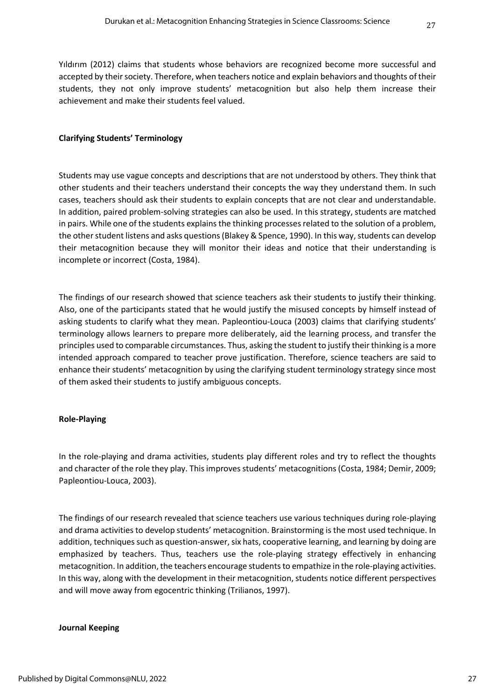Yıldırım (2012) claims that students whose behaviors are recognized become more successful and accepted by their society. Therefore, when teachers notice and explain behaviors and thoughts of their students, they not only improve students' metacognition but also help them increase their achievement and make their students feel valued.

#### **Clarifying Students' Terminology**

Students may use vague concepts and descriptions that are not understood by others. They think that other students and their teachers understand their concepts the way they understand them. In such cases, teachers should ask their students to explain concepts that are not clear and understandable. In addition, paired problem-solving strategies can also be used. In this strategy, students are matched in pairs. While one of the students explains the thinking processes related to the solution of a problem, the other student listens and asks questions (Blakey & Spence, 1990). In this way, students can develop their metacognition because they will monitor their ideas and notice that their understanding is incomplete or incorrect (Costa, 1984).

The findings of our research showed that science teachers ask their students to justify their thinking. Also, one of the participants stated that he would justify the misused concepts by himself instead of asking students to clarify what they mean. Papleontiou-Louca (2003) claims that clarifying students' terminology allows learners to prepare more deliberately, aid the learning process, and transfer the principles used to comparable circumstances. Thus, asking the student to justify their thinking is a more intended approach compared to teacher prove justification. Therefore, science teachers are said to enhance their students' metacognition by using the clarifying student terminology strategy since most of them asked their students to justify ambiguous concepts.

#### **Role-Playing**

In the role-playing and drama activities, students play different roles and try to reflect the thoughts and character of the role they play. This improves students' metacognitions (Costa, 1984; Demir, 2009; Papleontiou-Louca, 2003).

The findings of our research revealed that science teachers use various techniques during role-playing and drama activities to develop students' metacognition. Brainstorming is the most used technique. In addition, techniques such as question-answer, six hats, cooperative learning, and learning by doing are emphasized by teachers. Thus, teachers use the role-playing strategy effectively in enhancing metacognition. In addition, the teachers encourage students to empathize in the role-playing activities. In this way, along with the development in their metacognition, students notice different perspectives and will move away from egocentric thinking (Trilianos, 1997).

#### **Journal Keeping**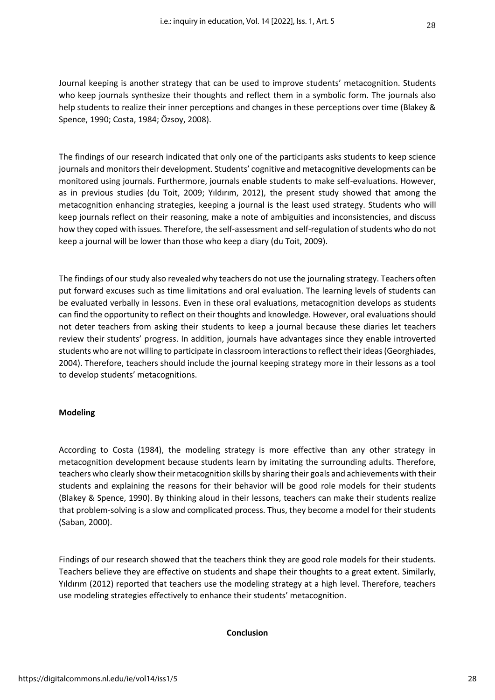Journal keeping is another strategy that can be used to improve students' metacognition. Students who keep journals synthesize their thoughts and reflect them in a symbolic form. The journals also help students to realize their inner perceptions and changes in these perceptions over time (Blakey & Spence, 1990; Costa, 1984; Özsoy, 2008).

The findings of our research indicated that only one of the participants asks students to keep science journals and monitors their development. Students' cognitive and metacognitive developments can be monitored using journals. Furthermore, journals enable students to make self-evaluations. However, as in previous studies (du Toit, 2009; Yıldırım, 2012), the present study showed that among the metacognition enhancing strategies, keeping a journal is the least used strategy. Students who will keep journals reflect on their reasoning, make a note of ambiguities and inconsistencies, and discuss how they coped with issues. Therefore, the self-assessment and self-regulation of students who do not keep a journal will be lower than those who keep a diary (du Toit, 2009).

The findings of our study also revealed why teachers do not use the journaling strategy. Teachers often put forward excuses such as time limitations and oral evaluation. The learning levels of students can be evaluated verbally in lessons. Even in these oral evaluations, metacognition develops as students can find the opportunity to reflect on their thoughts and knowledge. However, oral evaluations should not deter teachers from asking their students to keep a journal because these diaries let teachers review their students' progress. In addition, journals have advantages since they enable introverted students who are not willing to participate in classroom interactions to reflect their ideas (Georghiades, 2004). Therefore, teachers should include the journal keeping strategy more in their lessons as a tool to develop students' metacognitions.

#### **Modeling**

According to Costa (1984), the modeling strategy is more effective than any other strategy in metacognition development because students learn by imitating the surrounding adults. Therefore, teachers who clearly show their metacognition skills by sharing their goals and achievements with their students and explaining the reasons for their behavior will be good role models for their students (Blakey & Spence, 1990). By thinking aloud in their lessons, teachers can make their students realize that problem-solving is a slow and complicated process. Thus, they become a model for their students (Saban, 2000).

Findings of our research showed that the teachers think they are good role models for their students. Teachers believe they are effective on students and shape their thoughts to a great extent. Similarly, Yıldırım (2012) reported that teachers use the modeling strategy at a high level. Therefore, teachers use modeling strategies effectively to enhance their students' metacognition.

#### **Conclusion**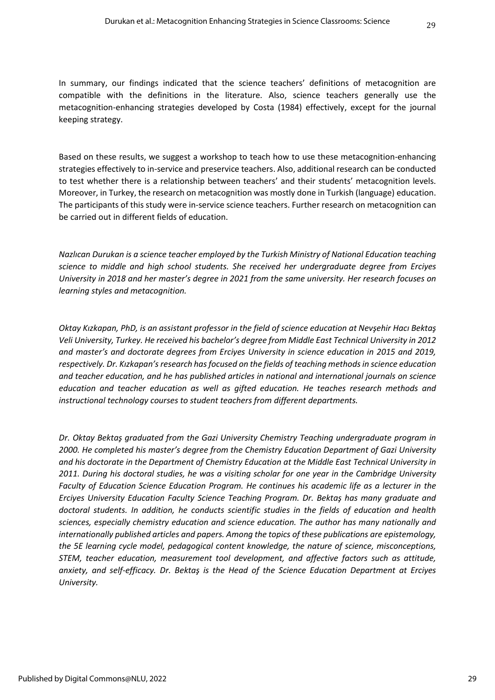Based on these results, we suggest a workshop to teach how to use these metacognition-enhancing strategies effectively to in-service and preservice teachers. Also, additional research can be conducted to test whether there is a relationship between teachers' and their students' metacognition levels. Moreover, in Turkey, the research on metacognition was mostly done in Turkish (language) education. The participants of this study were in-service science teachers. Further research on metacognition can be carried out in different fields of education.

*Nazlıcan Durukan is a science teacher employed by the Turkish Ministry of National Education teaching science to middle and high school students. She received her undergraduate degree from Erciyes University in 2018 and her master's degree in 2021 from the same university. Her research focuses on learning styles and metacognition.*

*Oktay Kızkapan, PhD, is an assistant professor in the field of science education at Nevşehir Hacı Bektaş Veli University, Turkey. He received his bachelor's degree from Middle East Technical University in 2012 and master's and doctorate degrees from Erciyes University in science education in 2015 and 2019, respectively. Dr. Kızkapan'sresearch has focused on the fields of teaching methods in science education and teacher education, and he has published articles in national and international journals on science education and teacher education as well as gifted education. He teaches research methods and instructional technology courses to student teachers from different departments.* 

*Dr. Oktay Bektaş graduated from the Gazi University Chemistry Teaching undergraduate program in 2000. He completed his master's degree from the Chemistry Education Department of Gazi University and his doctorate in the Department of Chemistry Education at the Middle East Technical University in 2011. During his doctoral studies, he was a visiting scholar for one year in the Cambridge University Faculty of Education Science Education Program. He continues his academic life as a lecturer in the Erciyes University Education Faculty Science Teaching Program. Dr. Bektaş has many graduate and doctoral students. In addition, he conducts scientific studies in the fields of education and health sciences, especially chemistry education and science education. The author has many nationally and internationally published articles and papers. Among the topics of these publications are epistemology, the 5E learning cycle model, pedagogical content knowledge, the nature of science, misconceptions, STEM, teacher education, measurement tool development, and affective factors such as attitude, anxiety, and self-efficacy. Dr. Bektaş is the Head of the Science Education Department at Erciyes University.*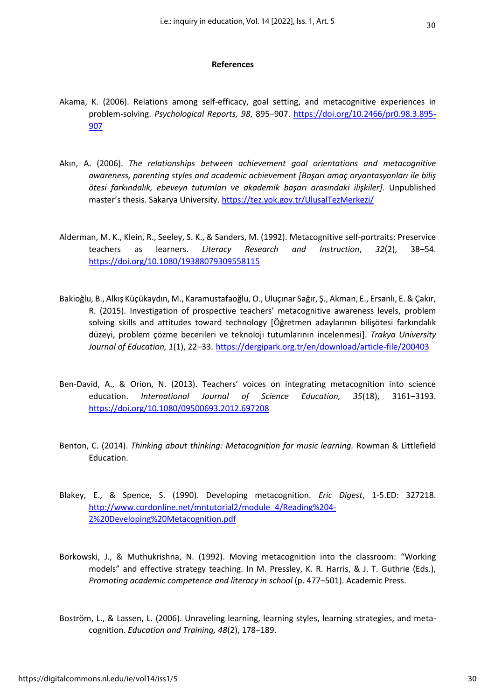#### **References**

- Akama, K. (2006). Relations among self-efficacy, goal setting, and metacognitive experiences in problem-solving. *Psychological Reports, 98*, 895–907. [https://doi.org/10.2466/pr0.98.3.895-](https://doi.org/10.2466/pr0.98.3.895-907) [907](https://doi.org/10.2466/pr0.98.3.895-907)
- Akın, A. (2006). *The relationships between achievement goal orientations and metacognitive awareness, parenting styles and academic achievement [Başarı amaç oryantasyonları ile biliş ötesi farkındalık, ebeveyn tutumları ve akademik başarı arasındaki ilişkiler].* Unpublished master's thesis. Sakarya University. <https://tez.yok.gov.tr/UlusalTezMerkezi/>
- Alderman, M. K., Klein, R., Seeley, S. K., & Sanders, M. (1992). Metacognitive self‐portraits: Preservice teachers as learners. *Literacy Research and Instruction*, *32*(2), 38–54. <https://doi.org/10.1080/19388079309558115>
- Bakioğlu, B., Alkış Küçükaydın, M., Karamustafaoğlu, O., Uluçınar Sağır, Ş., Akman, E., Ersanlı, E. & Çakır, R. (2015). Investigation of prospective teachers' metacognitive awareness levels, problem solving skills and attitudes toward technology [Öğretmen adaylarının bilişötesi farkındalık düzeyi, problem çözme becerileri ve teknoloji tutumlarının incelenmesi]. *Trakya University Journal of Education, 1*(1), 22–33. <https://dergipark.org.tr/en/download/article-file/200403>
- Ben-David, A., & Orion, N. (2013). Teachers' voices on integrating metacognition into science education. *International Journal of Science Education, 35*(18), 3161–3193. <https://doi.org/10.1080/09500693.2012.697208>
- Benton, C. (2014). *Thinking about thinking: Metacognition for music learning.* Rowman & Littlefield Education.
- Blakey, E., & Spence, S. (1990). Developing metacognition. *Eric Digest*, 1-5.ED: 327218. [http://www.cordonline.net/mntutorial2/module\\_4/Reading%204-](http://www.cordonline.net/mntutorial2/module_4/Reading%204-2%20Developing%20Metacognition.pdf) [2%20Developing%20Metacognition.pdf](http://www.cordonline.net/mntutorial2/module_4/Reading%204-2%20Developing%20Metacognition.pdf)
- Borkowski, J., & Muthukrishna, N. (1992). Moving metacognition into the classroom: "Working models" and effective strategy teaching. In M. Pressley, K. R. Harris, & J. T. Guthrie (Eds.), *Promoting academic competence and literacy in school* (p. 477–501). Academic Press.
- Boström, L., & Lassen, L. (2006). Unraveling learning, learning styles, learning strategies, and metacognition. *Education and Training, 48*(2), 178–189.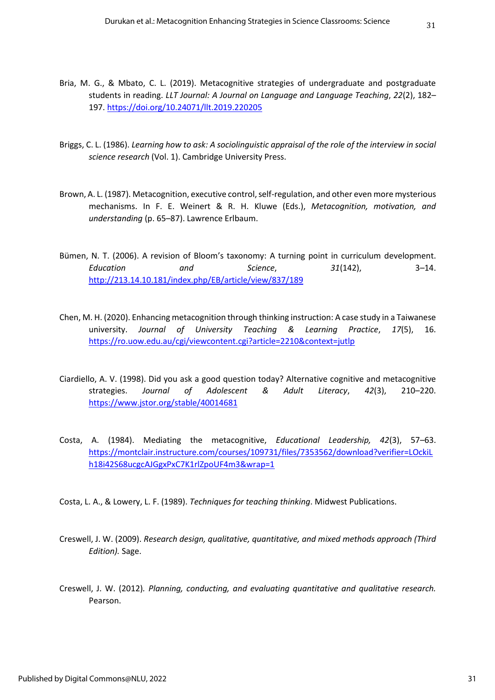- Bria, M. G., & Mbato, C. L. (2019). Metacognitive strategies of undergraduate and postgraduate students in reading. *LLT Journal: A Journal on Language and Language Teaching*, *22*(2), 182– 197. <https://doi.org/10.24071/llt.2019.220205>
- Briggs, C. L. (1986). *Learning how to ask: A sociolinguistic appraisal of the role of the interview in social science research* (Vol. 1). Cambridge University Press.
- Brown, A. L. (1987). Metacognition, executive control, self-regulation, and other even more mysterious mechanisms. In F. E. Weinert & R. H. Kluwe (Eds.), *Metacognition, motivation, and understanding* (p. 65–87). Lawrence Erlbaum.
- Bümen, N. T. (2006). A revision of Bloom's taxonomy: A turning point in curriculum development. *Education and Science*, *31*(142), 3–14. <http://213.14.10.181/index.php/EB/article/view/837/189>
- Chen, M. H. (2020). Enhancing metacognition through thinking instruction: A case study in a Taiwanese university. *Journal of University Teaching & Learning Practice*, *17*(5), 16. <https://ro.uow.edu.au/cgi/viewcontent.cgi?article=2210&context=jutlp>
- Ciardiello, A. V. (1998). Did you ask a good question today? Alternative cognitive and metacognitive strategies. *Journal of Adolescent & Adult Literacy*, *42*(3), 210–220. <https://www.jstor.org/stable/40014681>
- Costa, A. (1984). Mediating the metacognitive, *Educational Leadership, 42*(3), 57–63. [https://montclair.instructure.com/courses/109731/files/7353562/download?verifier=LOckiL](https://montclair.instructure.com/courses/109731/files/7353562/download?verifier=LOckiLh18i42S68ucgcAJGgxPxC7K1rlZpoUF4m3&wrap=1) [h18i42S68ucgcAJGgxPxC7K1rlZpoUF4m3&wrap=1](https://montclair.instructure.com/courses/109731/files/7353562/download?verifier=LOckiLh18i42S68ucgcAJGgxPxC7K1rlZpoUF4m3&wrap=1)
- Costa, L. A., & Lowery, L. F. (1989). *Techniques for teaching thinking*. Midwest Publications.
- Creswell, J. W. (2009). *Research design, qualitative, quantitative, and mixed methods approach (Third Edition).* Sage.
- Creswell, J. W. (2012)*. Planning, conducting, and evaluating quantitative and qualitative research.*  Pearson.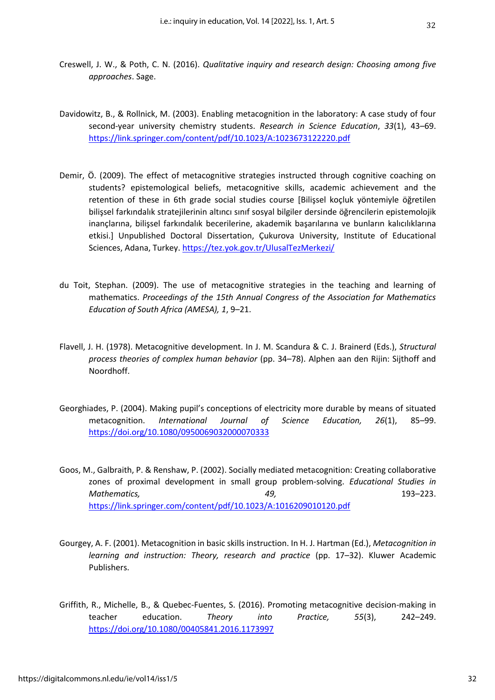- 32
- Creswell, J. W., & Poth, C. N. (2016). *Qualitative inquiry and research design: Choosing among five approaches*. Sage.
- Davidowitz, B., & Rollnick, M. (2003). Enabling metacognition in the laboratory: A case study of four second-year university chemistry students. *Research in Science Education*, *33*(1), 43–69. <https://link.springer.com/content/pdf/10.1023/A:1023673122220.pdf>
- Demir, Ö. (2009). The effect of metacognitive strategies instructed through cognitive coaching on students? epistemological beliefs, metacognitive skills, academic achievement and the retention of these in 6th grade social studies course [Bilişsel koçluk yöntemiyle öğretilen bilişsel farkındalık stratejilerinin altıncı sınıf sosyal bilgiler dersinde öğrencilerin epistemolojik inançlarına, bilişsel farkındalık becerilerine, akademik başarılarına ve bunların kalıcılıklarına etkisi.] Unpublished Doctoral Dissertation, Çukurova University, Institute of Educational Sciences, Adana, Turkey. <https://tez.yok.gov.tr/UlusalTezMerkezi/>
- du Toit, Stephan. (2009). The use of metacognitive strategies in the teaching and learning of mathematics. *Proceedings of the 15th Annual Congress of the Association for Mathematics Education of South Africa (AMESA), 1*, 9–21.
- Flavell, J. H. (1978). Metacognitive development. In J. M. Scandura & C. J. Brainerd (Eds.), *Structural process theories of complex human behavior* (pp. 34–78). Alphen aan den Rijin: Sijthoff and Noordhoff.
- Georghiades, P. (2004). Making pupil's conceptions of electricity more durable by means of situated metacognition. *International Journal of Science Education, 26*(1), 85–99. <https://doi.org/10.1080/0950069032000070333>
- Goos, M., Galbraith, P. & Renshaw, P. (2002). Socially mediated metacognition: Creating collaborative zones of proximal development in small group problem-solving. *Educational Studies in Mathematics, 49,* 193–223. <https://link.springer.com/content/pdf/10.1023/A:1016209010120.pdf>
- Gourgey, A. F. (2001). Metacognition in basic skills instruction. In H. J. Hartman (Ed.), *Metacognition in learning and instruction: Theory, research and practice* (pp. 17–32). Kluwer Academic Publishers.
- Griffith, R., Michelle, B., & Quebec-Fuentes, S. (2016). Promoting metacognitive decision-making in teacher education. *Theory into Practice, 55*(3), 242–249. <https://doi.org/10.1080/00405841.2016.1173997>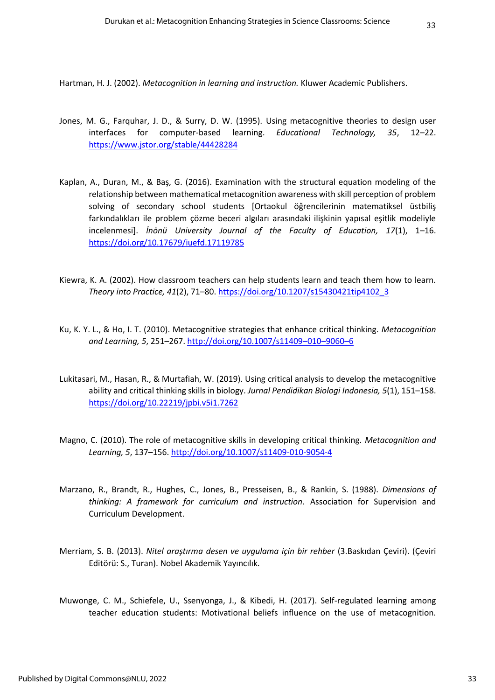Hartman, H. J. (2002). *Metacognition in learning and instruction.* Kluwer Academic Publishers.

- Jones, M. G., Farquhar, J. D., & Surry, D. W. (1995). Using metacognitive theories to design user interfaces for computer-based learning. *Educational Technology, 35*, 12–22. <https://www.jstor.org/stable/44428284>
- Kaplan, A., Duran, M., & Baş, G. (2016). Examination with the structural equation modeling of the relationship between mathematical metacognition awareness with skill perception of problem solving of secondary school students [Ortaokul öğrencilerinin matematiksel üstbiliş farkındalıkları ile problem çözme beceri algıları arasındaki ilişkinin yapısal eşitlik modeliyle incelenmesi]. *İnönü University Journal of the Faculty of Education, 17*(1), 1–16. <https://doi.org/10.17679/iuefd.17119785>
- Kiewra, K. A. (2002). How classroom teachers can help students learn and teach them how to learn. *Theory into Practice, 41*(2), 71–80. [https://doi.org/10.1207/s15430421tip4102\\_3](https://doi.org/10.1207/s15430421tip4102_3)
- Ku, K. Y. L., & Ho, I. T. (2010). Metacognitive strategies that enhance critical thinking. *Metacognition and Learning, 5*, 251–267[. http://doi.org/10.1007/s11409](http://doi.org/10.1007/s11409–010–9060–6)–010–9060–6
- Lukitasari, M., Hasan, R., & Murtafiah, W. (2019). Using critical analysis to develop the metacognitive ability and critical thinking skills in biology. *Jurnal Pendidikan Biologi Indonesia, 5*(1), 151–158. <https://doi.org/10.22219/jpbi.v5i1.7262>
- Magno, C. (2010). The role of metacognitive skills in developing critical thinking. *Metacognition and Learning, 5*, 137–156.<http://doi.org/10.1007/s11409-010-9054-4>
- Marzano, R., Brandt, R., Hughes, C., Jones, B., Presseisen, B., & Rankin, S. (1988). *Dimensions of thinking: A framework for curriculum and instruction*. Association for Supervision and Curriculum Development.
- Merriam, S. B. (2013). *Nitel araştırma desen ve uygulama için bir rehber* (3.Baskıdan Çeviri). (Çeviri Editörü: S., Turan). Nobel Akademik Yayıncılık.
- Muwonge, C. M., Schiefele, U., Ssenyonga, J., & Kibedi, H. (2017). Self-regulated learning among teacher education students: Motivational beliefs influence on the use of metacognition.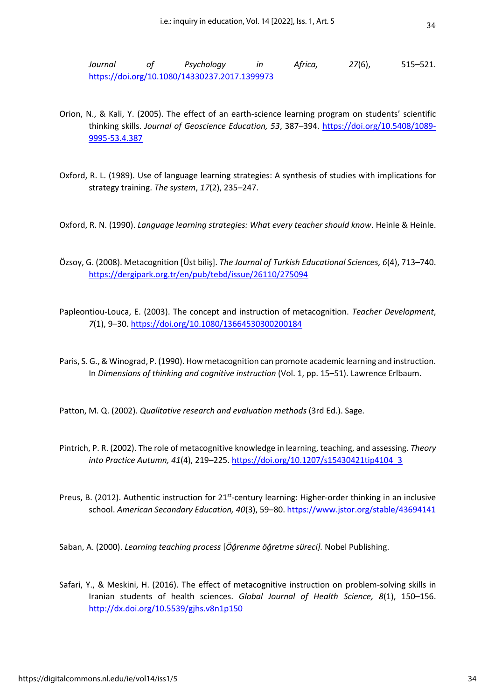*Journal of Psychology in Africa, 27*(6), 515–521. <https://doi.org/10.1080/14330237.2017.1399973>

- Orion, N., & Kali, Y. (2005). The effect of an earth-science learning program on students' scientific thinking skills. *Journal of Geoscience Education, 53*, 387–394. [https://doi.org/10.5408/1089-](https://doi.org/10.5408/1089-9995-53.4.387) [9995-53.4.387](https://doi.org/10.5408/1089-9995-53.4.387)
- Oxford, R. L. (1989). Use of language learning strategies: A synthesis of studies with implications for strategy training. *The system*, *17*(2), 235–247.
- Oxford, R. N. (1990). *Language learning strategies: What every teacher should know*. Heinle & Heinle.
- Özsoy, G. (2008). Metacognition [Üst biliş]. *The Journal of Turkish Educational Sciences, 6*(4), 713–740. <https://dergipark.org.tr/en/pub/tebd/issue/26110/275094>
- Papleontiou-Louca, E. (2003). The concept and instruction of metacognition. *Teacher Development*, *7*(1), 9–30. <https://doi.org/10.1080/13664530300200184>
- Paris, S. G., & Winograd, P. (1990). How metacognition can promote academic learning and instruction. In *Dimensions of thinking and cognitive instruction* (Vol. 1, pp. 15–51). Lawrence Erlbaum.
- Patton, M. Q. (2002). *Qualitative research and evaluation methods* (3rd Ed.). Sage.
- Pintrich, P. R. (2002). The role of metacognitive knowledge in learning, teaching, and assessing. *Theory into Practice Autumn, 41*(4), 219–225. [https://doi.org/10.1207/s15430421tip4104\\_3](https://doi.org/10.1207/s15430421tip4104_3)
- Preus, B. (2012). Authentic instruction for 21<sup>st</sup>-century learning: Higher-order thinking in an inclusive school. *American Secondary Education, 40*(3), 59–80. <https://www.jstor.org/stable/43694141>

Saban, A. (2000). *Learning teaching process* [*Öğrenme öğretme süreci].* Nobel Publishing.

Safari, Y., & Meskini, H. (2016). The effect of metacognitive instruction on problem-solving skills in Iranian students of health sciences. *Global Journal of Health Science, 8*(1), 150–156. <http://dx.doi.org/10.5539/gjhs.v8n1p150>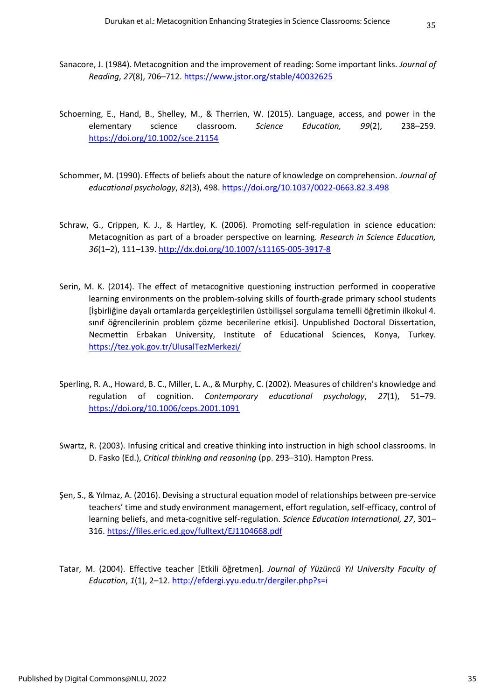- Sanacore, J. (1984). Metacognition and the improvement of reading: Some important links. *Journal of Reading*, *27*(8), 706–712. <https://www.jstor.org/stable/40032625>
- Schoerning, E., Hand, B., Shelley, M., & Therrien, W. (2015). Language, access, and power in the elementary science classroom. *Science Education, 99*(2), 238–259. <https://doi.org/10.1002/sce.21154>
- Schommer, M. (1990). Effects of beliefs about the nature of knowledge on comprehension. *Journal of educational psychology*, *82*(3), 498. <https://doi.org/10.1037/0022-0663.82.3.498>
- Schraw, G., Crippen, K. J., & Hartley, K. (2006). Promoting self-regulation in science education: Metacognition as part of a broader perspective on learning*. Research in Science Education, 36*(1–2), 111–139[. http://dx.doi.org/10.1007/s11165-005-3917-8](http://dx.doi.org/10.1007/s11165-005-3917-8)
- Serin, M. K. (2014). The effect of metacognitive questioning instruction performed in cooperative learning environments on the problem-solving skills of fourth-grade primary school students [İşbirliğine dayalı ortamlarda gerçekleştirilen üstbilişsel sorgulama temelli öğretimin ilkokul 4. sınıf öğrencilerinin problem çözme becerilerine etkisi]. Unpublished Doctoral Dissertation, Necmettin Erbakan University, Institute of Educational Sciences, Konya, Turkey. <https://tez.yok.gov.tr/UlusalTezMerkezi/>
- Sperling, R. A., Howard, B. C., Miller, L. A., & Murphy, C. (2002). Measures of children's knowledge and regulation of cognition. *Contemporary educational psychology*, *27*(1), 51–79. <https://doi.org/10.1006/ceps.2001.1091>
- Swartz, R. (2003). Infusing critical and creative thinking into instruction in high school classrooms. In D. Fasko (Ed.), *Critical thinking and reasoning* (pp. 293–310). Hampton Press.
- Şen, S., & Yılmaz, A. (2016). Devising a structural equation model of relationships between pre-service teachers' time and study environment management, effort regulation, self-efficacy, control of learning beliefs, and meta-cognitive self-regulation. *Science Education International, 27*, 301– 316. <https://files.eric.ed.gov/fulltext/EJ1104668.pdf>
- Tatar, M. (2004). Effective teacher [Etkili öğretmen]. *Journal of Yüzüncü Yıl University Faculty of Education*, *1*(1), 2–12. <http://efdergi.yyu.edu.tr/dergiler.php?s=i>